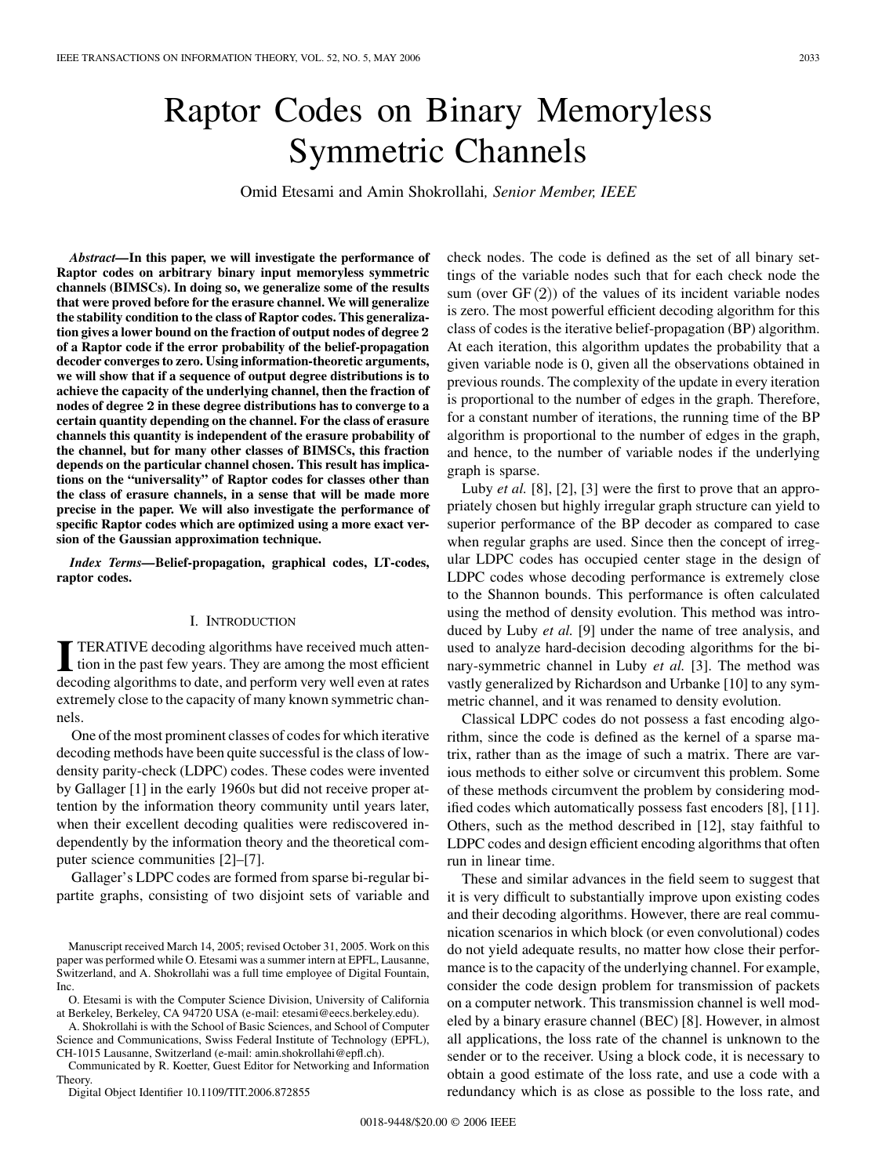# Raptor Codes on Binary Memoryless Symmetric Channels

Omid Etesami and Amin Shokrollahi*, Senior Member, IEEE*

*Abstract—***In this paper, we will investigate the performance of Raptor codes on arbitrary binary input memoryless symmetric channels (BIMSCs). In doing so, we generalize some of the results that were proved before for the erasure channel. We will generalize the stability condition to the class of Raptor codes. This generalization gives a lower bound on the fraction of output nodes of degree** 2 **of a Raptor code if the error probability of the belief-propagation decoder converges to zero. Using information-theoretic arguments, we will show that if a sequence of output degree distributions is to achieve the capacity of the underlying channel, then the fraction of nodes of degree** 2 **in these degree distributions has to converge to a certain quantity depending on the channel. For the class of erasure channels this quantity is independent of the erasure probability of the channel, but for many other classes of BIMSCs, this fraction depends on the particular channel chosen. This result has implications on the "universality" of Raptor codes for classes other than the class of erasure channels, in a sense that will be made more precise in the paper. We will also investigate the performance of specific Raptor codes which are optimized using a more exact version of the Gaussian approximation technique.**

*Index Terms—***Belief-propagation, graphical codes, LT-codes, raptor codes.**

#### I. INTRODUCTION

**I** TERATIVE decoding algorithms have received much attention in the past few years. They are among the most efficient decoding algorithms to date, and perform very well even at rates extremely close to the capacity of many known symmetric channels.

One of the most prominent classes of codes for which iterative decoding methods have been quite successful is the class of lowdensity parity-check (LDPC) codes. These codes were invented by Gallager [\[1](#page-18-0)] in the early 1960s but did not receive proper attention by the information theory community until years later, when their excellent decoding qualities were rediscovered independently by the information theory and the theoretical computer science communities [[2\]](#page-18-0)–[[7\]](#page-18-0).

Gallager's LDPC codes are formed from sparse bi-regular bipartite graphs, consisting of two disjoint sets of variable and

O. Etesami is with the Computer Science Division, University of California at Berkeley, Berkeley, CA 94720 USA (e-mail: etesami@eecs.berkeley.edu).

A. Shokrollahi is with the School of Basic Sciences, and School of Computer Science and Communications, Swiss Federal Institute of Technology (EPFL), CH-1015 Lausanne, Switzerland (e-mail: amin.shokrollahi@epfl.ch).

Communicated by R. Koetter, Guest Editor for Networking and Information Theory.

Digital Object Identifier 10.1109/TIT.2006.872855

check nodes. The code is defined as the set of all binary settings of the variable nodes such that for each check node the sum (over  $GF(2)$ ) of the values of its incident variable nodes is zero. The most powerful efficient decoding algorithm for this class of codes is the iterative belief-propagation (BP) algorithm. At each iteration, this algorithm updates the probability that a given variable node is  $0$ , given all the observations obtained in previous rounds. The complexity of the update in every iteration is proportional to the number of edges in the graph. Therefore, for a constant number of iterations, the running time of the BP algorithm is proportional to the number of edges in the graph, and hence, to the number of variable nodes if the underlying graph is sparse.

Luby *et al.* [\[8](#page-18-0)], [[2\]](#page-18-0), [[3\]](#page-18-0) were the first to prove that an appropriately chosen but highly irregular graph structure can yield to superior performance of the BP decoder as compared to case when regular graphs are used. Since then the concept of irregular LDPC codes has occupied center stage in the design of LDPC codes whose decoding performance is extremely close to the Shannon bounds. This performance is often calculated using the method of density evolution. This method was introduced by Luby *et al.* [[9\]](#page-18-0) under the name of tree analysis, and used to analyze hard-decision decoding algorithms for the binary-symmetric channel in Luby *et al.* [[3\]](#page-18-0). The method was vastly generalized by Richardson and Urbanke [[10\]](#page-18-0) to any symmetric channel, and it was renamed to density evolution.

Classical LDPC codes do not possess a fast encoding algorithm, since the code is defined as the kernel of a sparse matrix, rather than as the image of such a matrix. There are various methods to either solve or circumvent this problem. Some of these methods circumvent the problem by considering modified codes which automatically possess fast encoders [[8\]](#page-18-0), [\[11](#page-18-0)]. Others, such as the method described in [[12\]](#page-18-0), stay faithful to LDPC codes and design efficient encoding algorithms that often run in linear time.

These and similar advances in the field seem to suggest that it is very difficult to substantially improve upon existing codes and their decoding algorithms. However, there are real communication scenarios in which block (or even convolutional) codes do not yield adequate results, no matter how close their performance is to the capacity of the underlying channel. For example, consider the code design problem for transmission of packets on a computer network. This transmission channel is well modeled by a binary erasure channel (BEC) [\[8](#page-18-0)]. However, in almost all applications, the loss rate of the channel is unknown to the sender or to the receiver. Using a block code, it is necessary to obtain a good estimate of the loss rate, and use a code with a redundancy which is as close as possible to the loss rate, and

Manuscript received March 14, 2005; revised October 31, 2005. Work on this paper was performed while O. Etesami was a summer intern at EPFL, Lausanne, Switzerland, and A. Shokrollahi was a full time employee of Digital Fountain, Inc.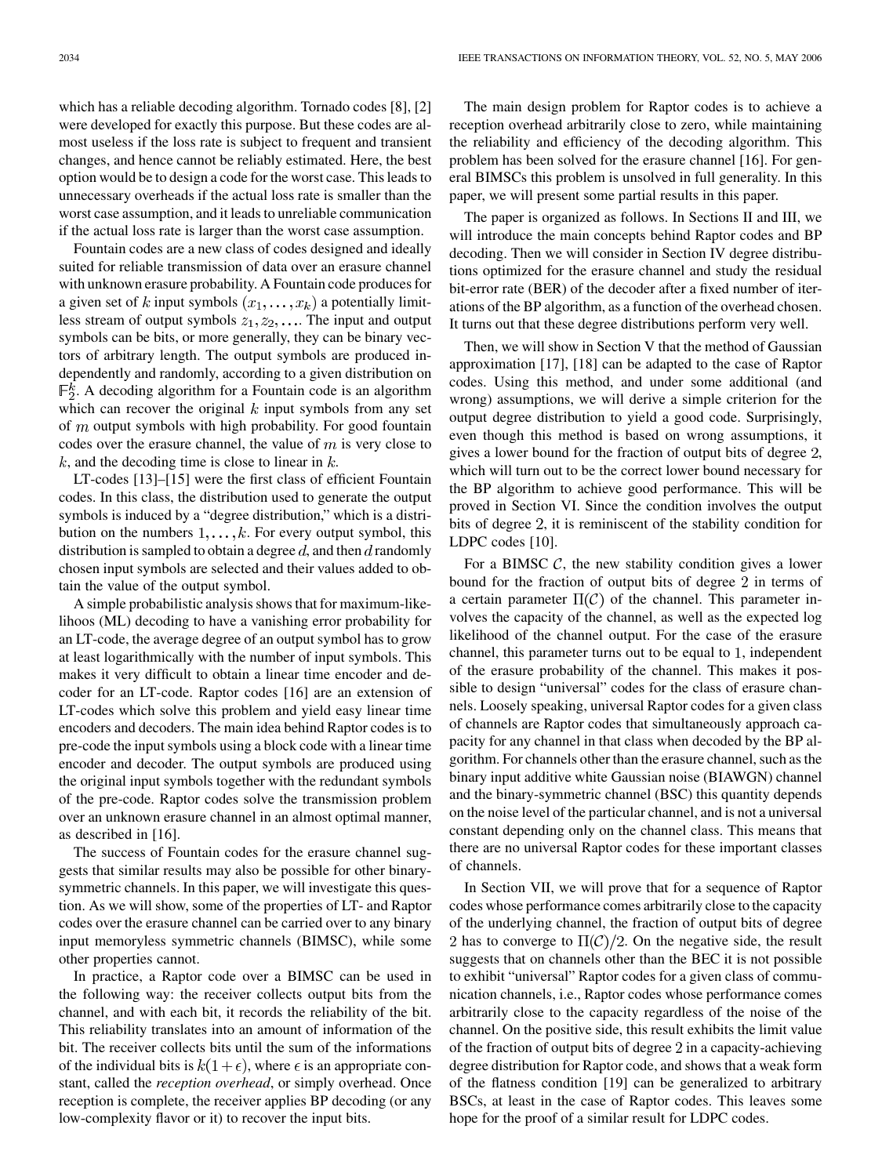which has a reliable decoding algorithm. Tornado codes [\[8](#page-18-0)], [\[2](#page-18-0)] were developed for exactly this purpose. But these codes are almost useless if the loss rate is subject to frequent and transient changes, and hence cannot be reliably estimated. Here, the best option would be to design a code for the worst case. This leads to unnecessary overheads if the actual loss rate is smaller than the worst case assumption, and it leads to unreliable communication if the actual loss rate is larger than the worst case assumption.

Fountain codes are a new class of codes designed and ideally suited for reliable transmission of data over an erasure channel with unknown erasure probability. A Fountain code produces for a given set of k input symbols  $(x_1, \ldots, x_k)$  a potentially limitless stream of output symbols  $z_1, z_2, \ldots$ . The input and output symbols can be bits, or more generally, they can be binary vectors of arbitrary length. The output symbols are produced independently and randomly, according to a given distribution on  $\mathbb{F}_2^k$ . A decoding algorithm for a Fountain code is an algorithm which can recover the original  $k$  input symbols from any set of  $m$  output symbols with high probability. For good fountain codes over the erasure channel, the value of  $m$  is very close to  $k$ , and the decoding time is close to linear in  $k$ .

LT-codes [\[13](#page-18-0)]–[[15\]](#page-18-0) were the first class of efficient Fountain codes. In this class, the distribution used to generate the output symbols is induced by a "degree distribution," which is a distribution on the numbers  $1, \ldots, k$ . For every output symbol, this distribution is sampled to obtain a degree d, and then d randomly chosen input symbols are selected and their values added to obtain the value of the output symbol.

A simple probabilistic analysis shows that for maximum-likelihoos (ML) decoding to have a vanishing error probability for an LT-code, the average degree of an output symbol has to grow at least logarithmically with the number of input symbols. This makes it very difficult to obtain a linear time encoder and decoder for an LT-code. Raptor codes [\[16](#page-18-0)] are an extension of LT-codes which solve this problem and yield easy linear time encoders and decoders. The main idea behind Raptor codes is to pre-code the input symbols using a block code with a linear time encoder and decoder. The output symbols are produced using the original input symbols together with the redundant symbols of the pre-code. Raptor codes solve the transmission problem over an unknown erasure channel in an almost optimal manner, as described in [[16\]](#page-18-0).

The success of Fountain codes for the erasure channel suggests that similar results may also be possible for other binarysymmetric channels. In this paper, we will investigate this question. As we will show, some of the properties of LT- and Raptor codes over the erasure channel can be carried over to any binary input memoryless symmetric channels (BIMSC), while some other properties cannot.

In practice, a Raptor code over a BIMSC can be used in the following way: the receiver collects output bits from the channel, and with each bit, it records the reliability of the bit. This reliability translates into an amount of information of the bit. The receiver collects bits until the sum of the informations of the individual bits is  $k(1+\epsilon)$ , where  $\epsilon$  is an appropriate constant, called the *reception overhead*, or simply overhead. Once reception is complete, the receiver applies BP decoding (or any low-complexity flavor or it) to recover the input bits.

The main design problem for Raptor codes is to achieve a reception overhead arbitrarily close to zero, while maintaining the reliability and efficiency of the decoding algorithm. This problem has been solved for the erasure channel [\[16](#page-18-0)]. For general BIMSCs this problem is unsolved in full generality. In this paper, we will present some partial results in this paper.

The paper is organized as follows. In Sections II and III, we will introduce the main concepts behind Raptor codes and BP decoding. Then we will consider in Section IV degree distributions optimized for the erasure channel and study the residual bit-error rate (BER) of the decoder after a fixed number of iterations of the BP algorithm, as a function of the overhead chosen. It turns out that these degree distributions perform very well.

Then, we will show in Section V that the method of Gaussian approximation [\[17](#page-18-0)], [\[18](#page-18-0)] can be adapted to the case of Raptor codes. Using this method, and under some additional (and wrong) assumptions, we will derive a simple criterion for the output degree distribution to yield a good code. Surprisingly, even though this method is based on wrong assumptions, it gives a lower bound for the fraction of output bits of degree 2, which will turn out to be the correct lower bound necessary for the BP algorithm to achieve good performance. This will be proved in Section VI. Since the condition involves the output bits of degree 2, it is reminiscent of the stability condition for LDPC codes [[10\]](#page-18-0).

For a BIMSC  $C$ , the new stability condition gives a lower bound for the fraction of output bits of degree 2 in terms of a certain parameter  $\Pi(\mathcal{C})$  of the channel. This parameter involves the capacity of the channel, as well as the expected log likelihood of the channel output. For the case of the erasure channel, this parameter turns out to be equal to  $1$ , independent of the erasure probability of the channel. This makes it possible to design "universal" codes for the class of erasure channels. Loosely speaking, universal Raptor codes for a given class of channels are Raptor codes that simultaneously approach capacity for any channel in that class when decoded by the BP algorithm. For channels other than the erasure channel, such as the binary input additive white Gaussian noise (BIAWGN) channel and the binary-symmetric channel (BSC) this quantity depends on the noise level of the particular channel, and is not a universal constant depending only on the channel class. This means that there are no universal Raptor codes for these important classes of channels.

In Section VII, we will prove that for a sequence of Raptor codes whose performance comes arbitrarily close to the capacity of the underlying channel, the fraction of output bits of degree 2 has to converge to  $\Pi(\mathcal{C})/2$ . On the negative side, the result suggests that on channels other than the BEC it is not possible to exhibit "universal" Raptor codes for a given class of communication channels, i.e., Raptor codes whose performance comes arbitrarily close to the capacity regardless of the noise of the channel. On the positive side, this result exhibits the limit value of the fraction of output bits of degree  $2$  in a capacity-achieving degree distribution for Raptor code, and shows that a weak form of the flatness condition [[19\]](#page-18-0) can be generalized to arbitrary BSCs, at least in the case of Raptor codes. This leaves some hope for the proof of a similar result for LDPC codes.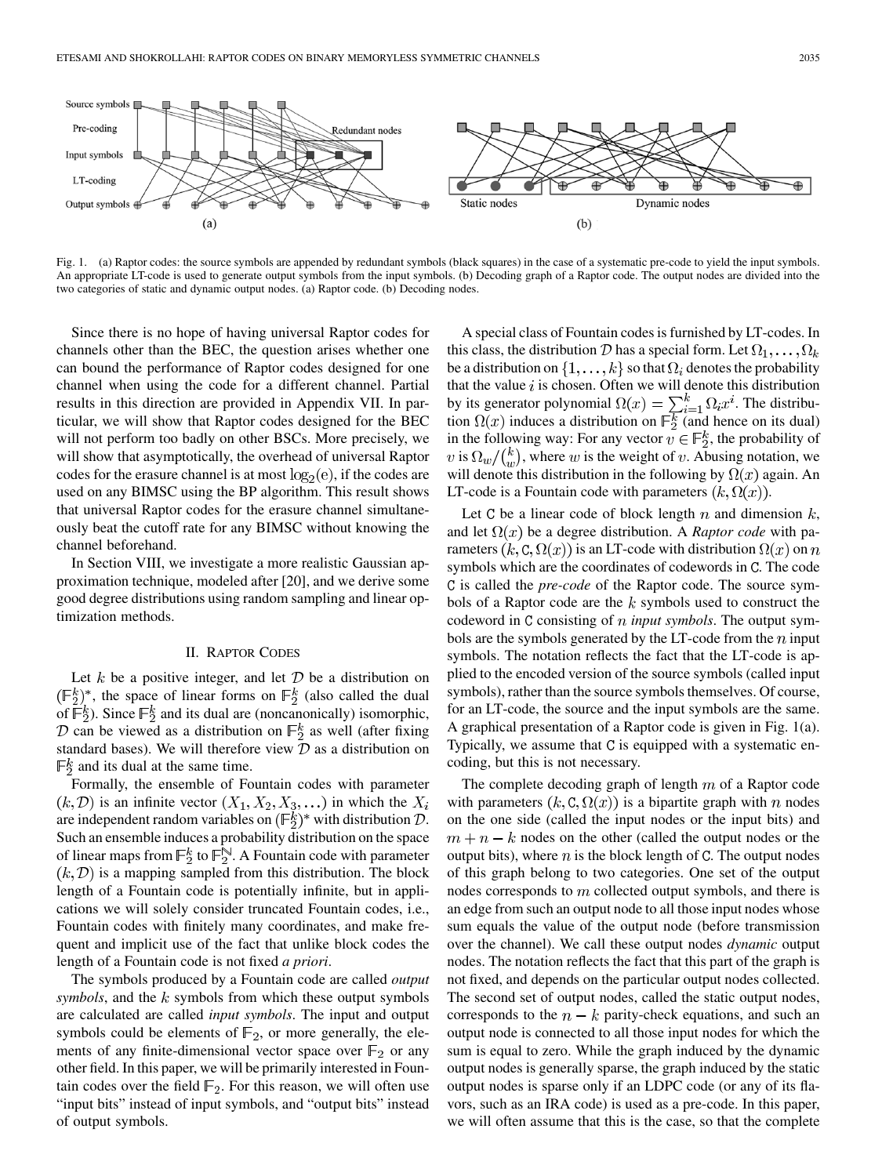

Fig. 1. (a) Raptor codes: the source symbols are appended by redundant symbols (black squares) in the case of a systematic pre-code to yield the input symbols. An appropriate LT-code is used to generate output symbols from the input symbols. (b) Decoding graph of a Raptor code. The output nodes are divided into the two categories of static and dynamic output nodes. (a) Raptor code. (b) Decoding nodes.

Since there is no hope of having universal Raptor codes for channels other than the BEC, the question arises whether one can bound the performance of Raptor codes designed for one channel when using the code for a different channel. Partial results in this direction are provided in Appendix VII. In particular, we will show that Raptor codes designed for the BEC will not perform too badly on other BSCs. More precisely, we will show that asymptotically, the overhead of universal Raptor codes for the erasure channel is at most  $log_2(e)$ , if the codes are used on any BIMSC using the BP algorithm. This result shows that universal Raptor codes for the erasure channel simultaneously beat the cutoff rate for any BIMSC without knowing the channel beforehand.

In Section VIII, we investigate a more realistic Gaussian approximation technique, modeled after [[20\]](#page-18-0), and we derive some good degree distributions using random sampling and linear optimization methods.

#### II. RAPTOR CODES

Let  $k$  be a positive integer, and let  $D$  be a distribution on  $(\mathbb{F}_2^k)^*$ , the space of linear forms on  $\mathbb{F}_2^k$  (also called the dual of  $\overline{\mathbb{F}}_2^k$ ). Since  $\mathbb{F}_2^k$  and its dual are (noncanonically) isomorphic, D can be viewed as a distribution on  $\mathbb{F}_2^k$  as well (after fixing standard bases). We will therefore view  $D$  as a distribution on  $\mathbb{F}_2^k$  and its dual at the same time.

Formally, the ensemble of Fountain codes with parameter  $(k, \mathcal{D})$  is an infinite vector  $(X_1, X_2, X_3, \ldots)$  in which the  $X_i$ are independent random variables on  $(\mathbb{F}_2^k)^*$  with distribution  $\mathcal{D}$ . Such an ensemble induces a probability distribution on the space of linear maps from  $\mathbb{F}_2^k$  to  $\mathbb{F}_2^{\mathbb{N}}$ . A Fountain code with parameter  $(k, \mathcal{D})$  is a mapping sampled from this distribution. The block length of a Fountain code is potentially infinite, but in applications we will solely consider truncated Fountain codes, i.e., Fountain codes with finitely many coordinates, and make frequent and implicit use of the fact that unlike block codes the length of a Fountain code is not fixed *a priori*.

The symbols produced by a Fountain code are called *output symbols*, and the  $k$  symbols from which these output symbols are calculated are called *input symbols*. The input and output symbols could be elements of  $\mathbb{F}_2$ , or more generally, the elements of any finite-dimensional vector space over  $\mathbb{F}_2$  or any other field. In this paper, we will be primarily interested in Fountain codes over the field  $\mathbb{F}_2$ . For this reason, we will often use "input bits" instead of input symbols, and "output bits" instead of output symbols.

A special class of Fountain codes is furnished by LT-codes. In this class, the distribution D has a special form. Let  $\Omega_1, \ldots, \Omega_k$ be a distribution on  $\{1, \ldots, k\}$  so that  $\Omega_i$  denotes the probability that the value  $i$  is chosen. Often we will denote this distribution by its generator polynomial  $\Omega(x) = \sum_{i=1}^{k} \Omega_i x^i$ . The distribution  $\Omega(x)$  induces a distribution on  $\mathbb{F}_2^k$  (and hence on its dual) in the following way: For any vector  $v \in \mathbb{F}_2^k$ , the probability of v is  $\Omega_w / \binom{k}{w}$ , where w is the weight of v. Abusing notation, we will denote this distribution in the following by  $\Omega(x)$  again. An LT-code is a Fountain code with parameters  $(k, \Omega(x))$ .

Let C be a linear code of block length  $n$  and dimension  $k$ , and let  $\Omega(x)$  be a degree distribution. A *Raptor code* with parameters  $(k, C, \Omega(x))$  is an LT-code with distribution  $\Omega(x)$  on n symbols which are the coordinates of codewords in C. The code C is called the *pre-code* of the Raptor code. The source symbols of a Raptor code are the  $k$  symbols used to construct the codeword in C consisting of *n input symbols*. The output symbols are the symbols generated by the LT-code from the  $n$  input symbols. The notation reflects the fact that the LT-code is applied to the encoded version of the source symbols (called input symbols), rather than the source symbols themselves. Of course, for an LT-code, the source and the input symbols are the same. A graphical presentation of a Raptor code is given in Fig. 1(a). Typically, we assume that C is equipped with a systematic encoding, but this is not necessary.

The complete decoding graph of length  $m$  of a Raptor code with parameters  $(k, C, \Omega(x))$  is a bipartite graph with n nodes on the one side (called the input nodes or the input bits) and  $m + n - k$  nodes on the other (called the output nodes or the output bits), where  $n$  is the block length of  $C$ . The output nodes of this graph belong to two categories. One set of the output nodes corresponds to  $m$  collected output symbols, and there is an edge from such an output node to all those input nodes whose sum equals the value of the output node (before transmission over the channel). We call these output nodes *dynamic* output nodes. The notation reflects the fact that this part of the graph is not fixed, and depends on the particular output nodes collected. The second set of output nodes, called the static output nodes, corresponds to the  $n - k$  parity-check equations, and such an output node is connected to all those input nodes for which the sum is equal to zero. While the graph induced by the dynamic output nodes is generally sparse, the graph induced by the static output nodes is sparse only if an LDPC code (or any of its flavors, such as an IRA code) is used as a pre-code. In this paper, we will often assume that this is the case, so that the complete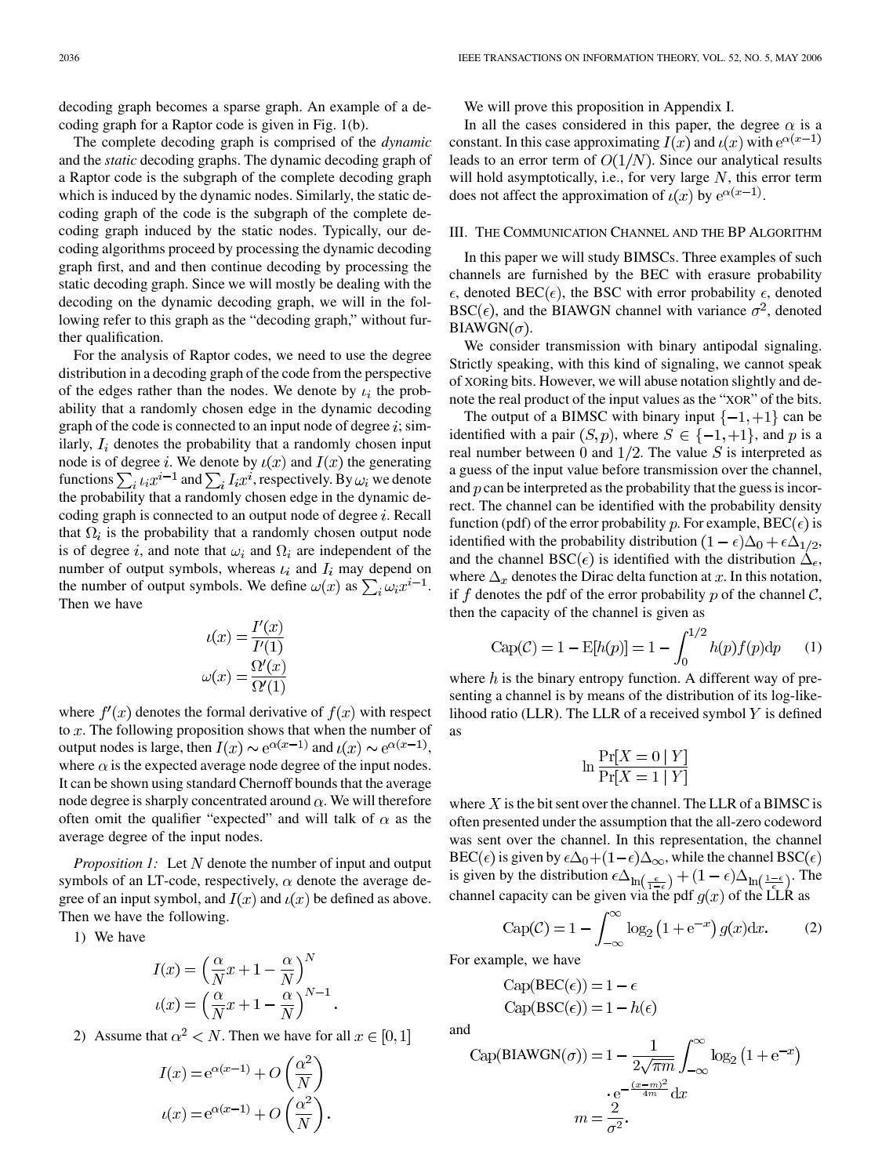decoding graph becomes a sparse graph. An example of a decoding graph for a Raptor code is given in Fig. 1(b).

The complete decoding graph is comprised of the *dynamic* and the *static* decoding graphs. The dynamic decoding graph of a Raptor code is the subgraph of the complete decoding graph which is induced by the dynamic nodes. Similarly, the static decoding graph of the code is the subgraph of the complete decoding graph induced by the static nodes. Typically, our decoding algorithms proceed by processing the dynamic decoding graph first, and and then continue decoding by processing the static decoding graph. Since we will mostly be dealing with the decoding on the dynamic decoding graph, we will in the following refer to this graph as the "decoding graph," without further qualification.

For the analysis of Raptor codes, we need to use the degree distribution in a decoding graph of the code from the perspective of the edges rather than the nodes. We denote by  $\iota_i$  the probability that a randomly chosen edge in the dynamic decoding graph of the code is connected to an input node of degree  $i$ ; similarly,  $I_i$  denotes the probability that a randomly chosen input node is of degree *i*. We denote by  $u(x)$  and  $I(x)$  the generating functions  $\sum_i t_i x^{i-1}$  and  $\sum_i I_i x^i$ , respectively. By  $\omega_i$  we denote the probability that a randomly chosen edge in the dynamic decoding graph is connected to an output node of degree  $i$ . Recall that  $\Omega_i$  is the probability that a randomly chosen output node is of degree i, and note that  $\omega_i$  and  $\Omega_i$  are independent of the number of output symbols, whereas  $\iota_i$  and  $I_i$  may depend on the number of output symbols. We define  $\omega(x)$  as  $\sum_i \omega_i x^{i-1}$ . Then we have

$$
\iota(x) = \frac{I'(x)}{I'(1)}
$$

$$
\omega(x) = \frac{\Omega'(x)}{\Omega'(1)}
$$

where  $f'(x)$  denotes the formal derivative of  $f(x)$  with respect to  $x$ . The following proposition shows that when the number of output nodes is large, then  $I(x) \sim e^{\alpha(x-1)}$  and  $\iota(x) \sim e^{\alpha(x-1)}$ , where  $\alpha$  is the expected average node degree of the input nodes. It can be shown using standard Chernoff bounds that the average node degree is sharply concentrated around  $\alpha$ . We will therefore often omit the qualifier "expected" and will talk of  $\alpha$  as the average degree of the input nodes.

*Proposition 1:* Let N denote the number of input and output symbols of an LT-code, respectively,  $\alpha$  denote the average degree of an input symbol, and  $I(x)$  and  $\iota(x)$  be defined as above. Then we have the following.

1) We have

$$
I(x) = \left(\frac{\alpha}{N}x + 1 - \frac{\alpha}{N}\right)^N
$$

$$
\iota(x) = \left(\frac{\alpha}{N}x + 1 - \frac{\alpha}{N}\right)^{N-1}
$$

2) Assume that  $\alpha^2 < N$ . Then we have for all  $x \in [0,1]$ 

$$
I(x) = e^{\alpha(x-1)} + O\left(\frac{\alpha^2}{N}\right)
$$

$$
\iota(x) = e^{\alpha(x-1)} + O\left(\frac{\alpha^2}{N}\right).
$$

We will prove this proposition in Appendix I.

In all the cases considered in this paper, the degree  $\alpha$  is a constant. In this case approximating  $I(x)$  and  $\iota(x)$  with  $e^{\alpha(x-1)}$ leads to an error term of  $O(1/N)$ . Since our analytical results will hold asymptotically, i.e., for very large  $N$ , this error term does not affect the approximation of  $\iota(x)$  by  $e^{\alpha(x-1)}$ .

#### III. THE COMMUNICATION CHANNEL AND THE BP ALGORITHM

In this paper we will study BIMSCs. Three examples of such channels are furnished by the BEC with erasure probability  $\epsilon$ , denoted BEC( $\epsilon$ ), the BSC with error probability  $\epsilon$ , denoted  $BSC(\epsilon)$ , and the BIAWGN channel with variance  $\sigma^2$ , denoted  $BIAWGN(\sigma)$ .

We consider transmission with binary antipodal signaling. Strictly speaking, with this kind of signaling, we cannot speak of XORing bits. However, we will abuse notation slightly and denote the real product of the input values as the "XOR" of the bits.

The output of a BIMSC with binary input  $\{-1, +1\}$  can be identified with a pair  $(S, p)$ , where  $S \in \{-1, +1\}$ , and p is a real number between 0 and  $1/2$ . The value S is interpreted as a guess of the input value before transmission over the channel, and  $p$  can be interpreted as the probability that the guess is incorrect. The channel can be identified with the probability density function (pdf) of the error probability p. For example,  $BEC(\epsilon)$  is identified with the probability distribution  $(1 - \epsilon)\Delta_0 + \epsilon \Delta_{1/2}$ , and the channel BSC( $\epsilon$ ) is identified with the distribution  $\Delta_{\epsilon}$ , where  $\Delta_x$  denotes the Dirac delta function at x. In this notation, if f denotes the pdf of the error probability p of the channel  $\mathcal{C}$ , then the capacity of the channel is given as

Cap(C) = 1 - E[h(p)] = 1 - 
$$
\int_0^{1/2} h(p)f(p)dp
$$
 (1)

where  $h$  is the binary entropy function. A different way of presenting a channel is by means of the distribution of its log-likelihood ratio (LLR). The LLR of a received symbol  $Y$  is defined as

$$
\ln \frac{\Pr[X=0|Y]}{\Pr[X=1|Y]}
$$

where  $X$  is the bit sent over the channel. The LLR of a BIMSC is often presented under the assumption that the all-zero codeword was sent over the channel. In this representation, the channel BEC( $\epsilon$ ) is given by  $\epsilon \Delta_0 + (1 - \epsilon) \Delta_{\infty}$ , while the channel BSC( $\epsilon$ ) is given by the distribution  $\epsilon\Delta_{\ln\left(\frac{\epsilon}{1-\epsilon}\right)} + (1-\epsilon)\Delta_{\ln\left(\frac{1-\epsilon}{\epsilon}\right)}$ . The channel capacity can be given via the pdf  $g(x)$  of the LLR as

$$
Cap(\mathcal{C}) = 1 - \int_{-\infty}^{\infty} \log_2 \left( 1 + e^{-x} \right) g(x) dx.
$$
 (2)

For example, we have

$$
Cap(BEC(\epsilon)) = 1 - \epsilon
$$
  
Cap(BSC(\epsilon)) = 1 - h(\epsilon)

and

Cap(BIAWGN(
$$
\sigma
$$
)) = 1 -  $\frac{1}{2\sqrt{\pi m}} \int_{-\infty}^{\infty} \log_2 (1 + e^{-x})$   
  $\cdot e^{-\frac{(x-m)^2}{4m}} dx$   
\n $m = \frac{2}{\sigma^2}$ .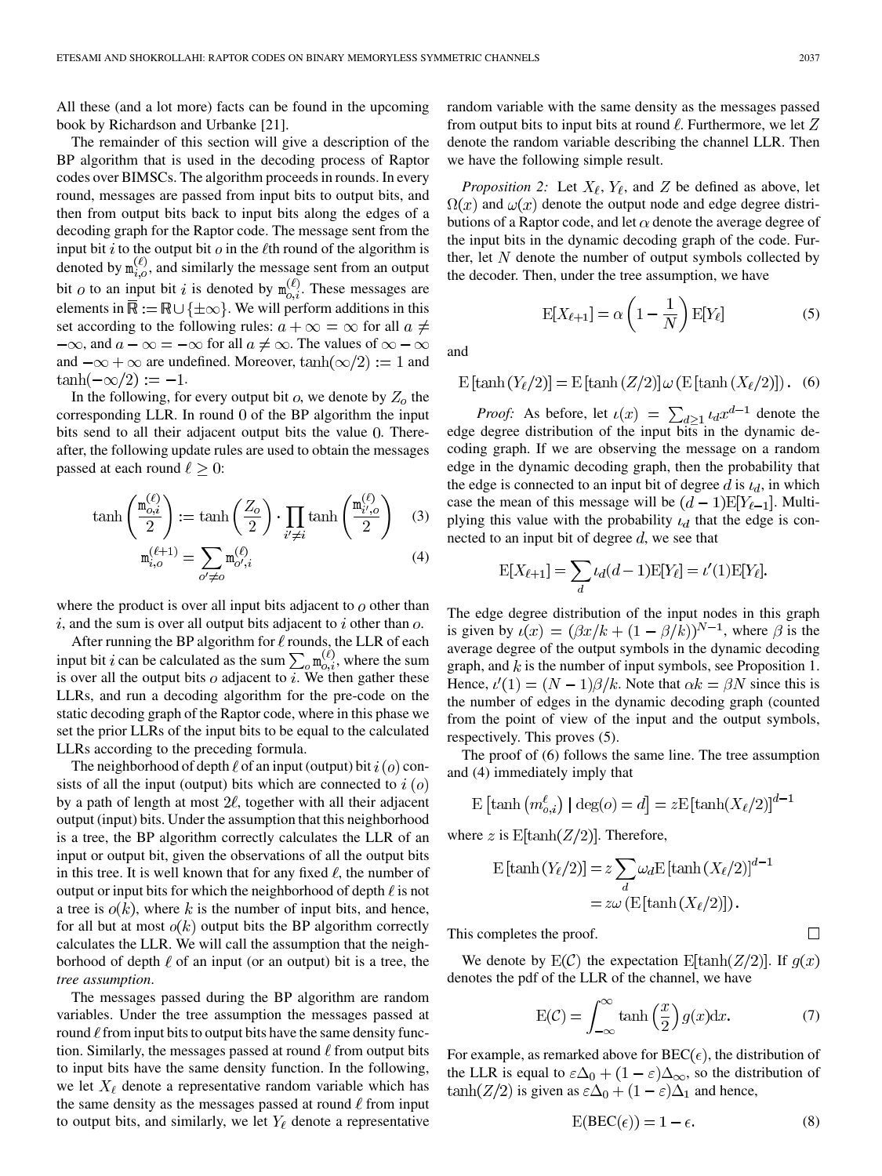All these (and a lot more) facts can be found in the upcoming book by Richardson and Urbanke [[21\]](#page-18-0).

The remainder of this section will give a description of the BP algorithm that is used in the decoding process of Raptor codes over BIMSCs. The algorithm proceeds in rounds. In every round, messages are passed from input bits to output bits, and then from output bits back to input bits along the edges of a decoding graph for the Raptor code. The message sent from the input bit i to the output bit  $\theta$  in the  $\ell$ th round of the algorithm is denoted by  $m_{i,o}^{(\ell)}$ , and similarly the message sent from an output bit  $o$  to an input bit i is denoted by  $m_{o,i}^{(\ell)}$ . These messages are elements in  $\overline{\mathbb{R}} := \mathbb{R} \cup \{\pm \infty\}$ . We will perform additions in this set according to the following rules:  $a + \infty = \infty$  for all  $a \neq$  $-\infty$ , and  $a - \infty = -\infty$  for all  $a \neq \infty$ . The values of  $\infty - \infty$ and  $-\infty + \infty$  are undefined. Moreover,  $\tanh(\infty/2) := 1$  and  $\tanh(-\infty/2) := -1.$ 

In the following, for every output bit  $o$ , we denote by  $Z_o$  the corresponding LLR. In round  $0$  of the BP algorithm the input bits send to all their adjacent output bits the value 0. Thereafter, the following update rules are used to obtain the messages passed at each round  $\ell \geq 0$ :

$$
\tanh\left(\frac{\mathbf{m}_{o,i}^{(\ell)}}{2}\right) := \tanh\left(\frac{Z_o}{2}\right) \cdot \prod_{i' \neq i} \tanh\left(\frac{\mathbf{m}_{i',o}^{(\ell)}}{2}\right) \quad (3)
$$

$$
\mathbf{m}_{i,o}^{(\ell+1)} = \sum_{o' \neq o} \mathbf{m}_{o',i}^{(\ell)} \quad (4)
$$

where the product is over all input bits adjacent to  $\sigma$  other than  $i$ , and the sum is over all output bits adjacent to  $i$  other than  $o$ .

After running the BP algorithm for  $\ell$  rounds, the LLR of each input bit i can be calculated as the sum  $\sum_{\alpha} n_{\alpha,i}^{(\ell)}$ , where the sum is over all the output bits  $o$  adjacent to  $i$ . We then gather these LLRs, and run a decoding algorithm for the pre-code on the static decoding graph of the Raptor code, where in this phase we set the prior LLRs of the input bits to be equal to the calculated LLRs according to the preceding formula.

The neighborhood of depth  $\ell$  of an input (output) bit  $i(o)$  consists of all the input (output) bits which are connected to  $i$  ( $o$ ) by a path of length at most  $2\ell$ , together with all their adjacent output (input) bits. Under the assumption that this neighborhood is a tree, the BP algorithm correctly calculates the LLR of an input or output bit, given the observations of all the output bits in this tree. It is well known that for any fixed  $\ell$ , the number of output or input bits for which the neighborhood of depth  $\ell$  is not a tree is  $o(k)$ , where k is the number of input bits, and hence, for all but at most  $o(k)$  output bits the BP algorithm correctly calculates the LLR. We will call the assumption that the neighborhood of depth  $\ell$  of an input (or an output) bit is a tree, the *tree assumption*.

The messages passed during the BP algorithm are random variables. Under the tree assumption the messages passed at round  $\ell$  from input bits to output bits have the same density function. Similarly, the messages passed at round  $\ell$  from output bits to input bits have the same density function. In the following, we let  $X_{\ell}$  denote a representative random variable which has the same density as the messages passed at round  $\ell$  from input to output bits, and similarly, we let  $Y_{\ell}$  denote a representative random variable with the same density as the messages passed from output bits to input bits at round  $\ell$ . Furthermore, we let Z denote the random variable describing the channel LLR. Then we have the following simple result.

*Proposition 2:* Let  $X_{\ell}$ ,  $Y_{\ell}$ , and Z be defined as above, let  $\Omega(x)$  and  $\omega(x)$  denote the output node and edge degree distributions of a Raptor code, and let  $\alpha$  denote the average degree of the input bits in the dynamic decoding graph of the code. Further, let  $N$  denote the number of output symbols collected by the decoder. Then, under the tree assumption, we have

$$
E[X_{\ell+1}] = \alpha \left(1 - \frac{1}{N}\right) E[Y_{\ell}]
$$
\n(5)

and

$$
E[tanh(Y_{\ell}/2)] = E[tanh(Z/2)] \omega(E[tanh(X_{\ell}/2)]). (6)
$$

*Proof:* As before, let  $\iota(x) = \sum_{d>1} \iota_d x^{d-1}$  denote the edge degree distribution of the input bits in the dynamic decoding graph. If we are observing the message on a random edge in the dynamic decoding graph, then the probability that the edge is connected to an input bit of degree d is  $\iota_d$ , in which case the mean of this message will be  $(d-1)E[Y_{\ell-1}]$ . Multiplying this value with the probability  $\iota_d$  that the edge is connected to an input bit of degree  $d$ , we see that

$$
\mathbf{E}[X_{\ell+1}]=\sum_d \iota_d(d-1)\mathbf{E}[Y_{\ell}]=\iota'(1)\mathbf{E}[Y_{\ell}].
$$

The edge degree distribution of the input nodes in this graph is given by  $\iota(x) = (\beta x/k + (1 - \beta/k))^{N-1}$ , where  $\beta$  is the average degree of the output symbols in the dynamic decoding graph, and  $k$  is the number of input symbols, see Proposition 1. Hence,  $\ell'(1) = (N-1)\beta/k$ . Note that  $\alpha k = \beta N$  since this is the number of edges in the dynamic decoding graph (counted from the point of view of the input and the output symbols, respectively. This proves (5).

The proof of (6) follows the same line. The tree assumption and (4) immediately imply that

$$
\mathbf{E}\left[\tanh\left(m_{o,i}^{\ell}\right) \mid \deg(o) = d\right] = z\mathbf{E}\left[\tanh(X_{\ell}/2)\right]^{d-1}
$$

where z is  $E[\tanh(Z/2)]$ . Therefore,

$$
\begin{aligned} \mathbf{E}\left[\tanh\left(Y_{\ell}/2\right)\right] &= z \sum_{d} \omega_d \mathbf{E}\left[\tanh\left(X_{\ell}/2\right)\right]^{d-1} \\ &= z\omega\left(\mathbf{E}\left[\tanh\left(X_{\ell}/2\right)\right]\right). \end{aligned}
$$

This completes the proof.

We denote by  $E(C)$  the expectation  $E[\tanh(Z/2)]$ . If  $g(x)$ denotes the pdf of the LLR of the channel, we have

$$
E(C) = \int_{-\infty}^{\infty} \tanh\left(\frac{x}{2}\right) g(x) dx.
$$
 (7)

 $\Box$ 

For example, as remarked above for  $BEC(\epsilon)$ , the distribution of the LLR is equal to  $\varepsilon \Delta_0 + (1 - \varepsilon) \Delta_{\infty}$ , so the distribution of  $\tanh(Z/2)$  is given as  $\varepsilon \Delta_0 + (1 - \varepsilon) \Delta_1$  and hence,

$$
E(BEC(\epsilon)) = 1 - \epsilon.
$$
 (8)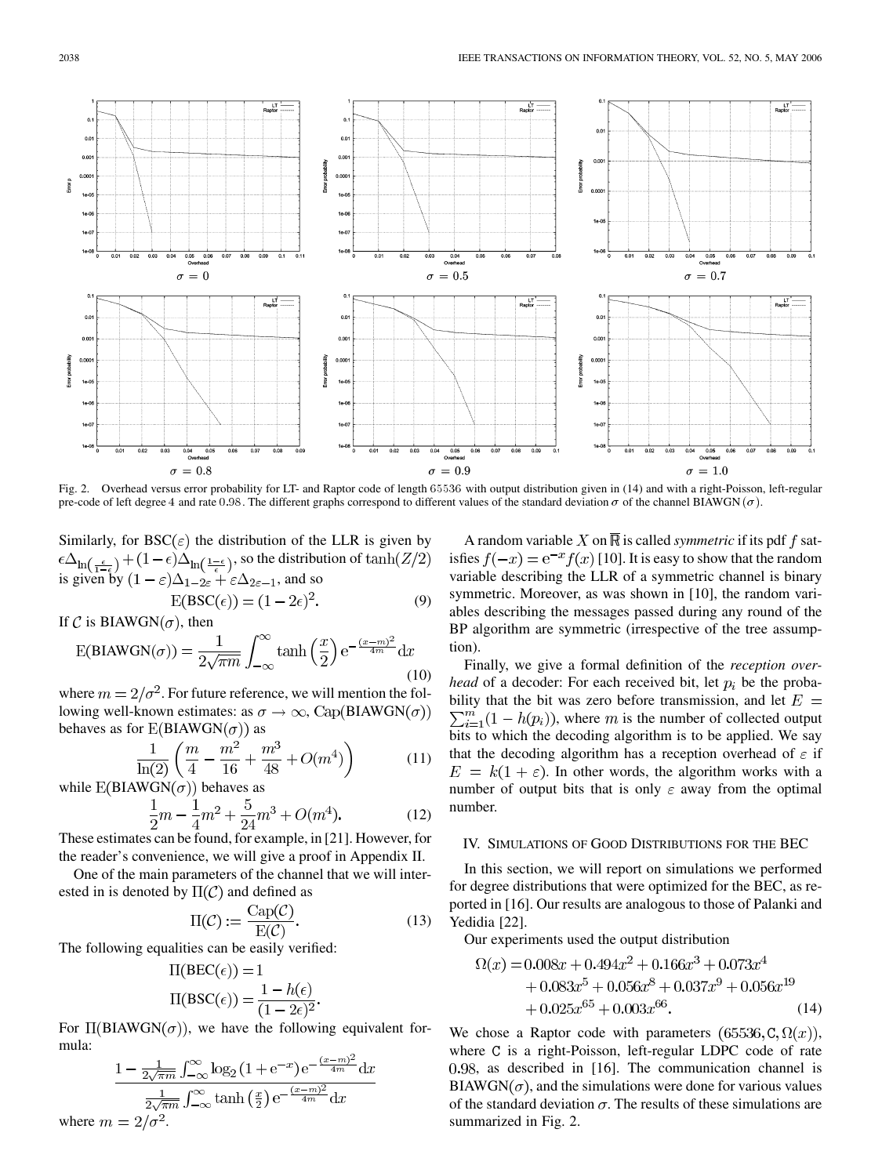

Fig. 2. Overhead versus error probability for LT- and Raptor code of length 65536 with output distribution given in (14) and with a right-Poisson, left-regular pre-code of left degree 4 and rate 0.98. The different graphs correspond to different values of the standard deviation  $\sigma$  of the channel BIAWGN ( $\sigma$ ).

Similarly, for  $BSC(\varepsilon)$  the distribution of the LLR is given by , so the distribution of is given by  $(1 - \varepsilon)\Delta_{1-2\varepsilon} + \varepsilon\Delta_{2\varepsilon-1}$ , and so

$$
E(BSC(\epsilon)) = (1 - 2\epsilon)^2.
$$
 (9)

If C is BIAWGN( $\sigma$ ), then

$$
E(BIAWGN(\sigma)) = \frac{1}{2\sqrt{\pi m}} \int_{-\infty}^{\infty} \tanh\left(\frac{x}{2}\right) e^{-\frac{(x-m)^2}{4m}} dx
$$
\n(10)

where  $m = 2/\sigma^2$ . For future reference, we will mention the following well-known estimates: as  $\sigma \to \infty$ , Cap(BIAWGN( $\sigma$ )) behaves as for  $E(BIAWGN(\sigma))$  as

$$
\frac{1}{\ln(2)} \left( \frac{m}{4} - \frac{m^2}{16} + \frac{m^3}{48} + O(m^4) \right) \tag{11}
$$

while  $E(BIAWGN(\sigma))$  behaves as

$$
\frac{1}{2}m - \frac{1}{4}m^2 + \frac{5}{24}m^3 + O(m^4). \tag{12}
$$

These estimates can be found, for example, in [[21\]](#page-18-0). However, for the reader's convenience, we will give a proof in Appendix II.

One of the main parameters of the channel that we will interested in is denoted by  $\Pi(\mathcal{C})$  and defined as

$$
\Pi(\mathcal{C}) := \frac{\text{Cap}(\mathcal{C})}{\text{E}(\mathcal{C})}.
$$
\n(13)

The following equalities can be easily verified:

$$
\Pi(\text{BEC}(\epsilon)) = 1
$$
  

$$
\Pi(\text{BSC}(\epsilon)) = \frac{1 - h(\epsilon)}{(1 - 2\epsilon)^2}.
$$

For  $\Pi(BIAWGN(\sigma))$ , we have the following equivalent formula:

$$
\frac{1 - \frac{1}{2\sqrt{\pi m}} \int_{-\infty}^{\infty} \log_2 \left(1 + e^{-x}\right) e^{-\frac{(x-m)^2}{4m}} dx}{\frac{1}{2\sqrt{\pi m}} \int_{-\infty}^{\infty} \tanh\left(\frac{x}{2}\right) e^{-\frac{(x-m)^2}{4m}} dx}
$$
  
where  $m = 2/\sigma^2$ .

A random variable X on  $\overline{\mathbb{R}}$  is called *symmetric* if its pdf f satisfies  $f(-x) = e^{-x} f(x)$  [[10\]](#page-18-0). It is easy to show that the random variable describing the LLR of a symmetric channel is binary symmetric. Moreover, as was shown in [\[10](#page-18-0)], the random variables describing the messages passed during any round of the BP algorithm are symmetric (irrespective of the tree assumption).

Finally, we give a formal definition of the *reception overhead* of a decoder: For each received bit, let  $p_i$  be the probability that the bit was zero before transmission, and let  $E =$  $\sum_{i=1}^{m} (1 - h(p_i))$ , where m is the number of collected output bits to which the decoding algorithm is to be applied. We say that the decoding algorithm has a reception overhead of  $\varepsilon$  if  $E = k(1 + \varepsilon)$ . In other words, the algorithm works with a number of output bits that is only  $\varepsilon$  away from the optimal number.

#### IV. SIMULATIONS OF GOOD DISTRIBUTIONS FOR THE BEC

In this section, we will report on simulations we performed for degree distributions that were optimized for the BEC, as reported in [\[16](#page-18-0)]. Our results are analogous to those of Palanki and Yedidia [\[22](#page-18-0)].

Our experiments used the output distribution

$$
\Omega(x) = 0.008x + 0.494x^{2} + 0.166x^{3} + 0.073x^{4}
$$
  
+ 0.083x<sup>5</sup> + 0.056x<sup>8</sup> + 0.037x<sup>9</sup> + 0.056x<sup>19</sup>  
+ 0.025x<sup>65</sup> + 0.003x<sup>66</sup>. (14)

We chose a Raptor code with parameters  $(65536, C, \Omega(x))$ , where C is a right-Poisson, left-regular LDPC code of rate 0.98, as described in [[16\]](#page-18-0). The communication channel is  $BIAWGN(\sigma)$ , and the simulations were done for various values of the standard deviation  $\sigma$ . The results of these simulations are summarized in Fig. 2.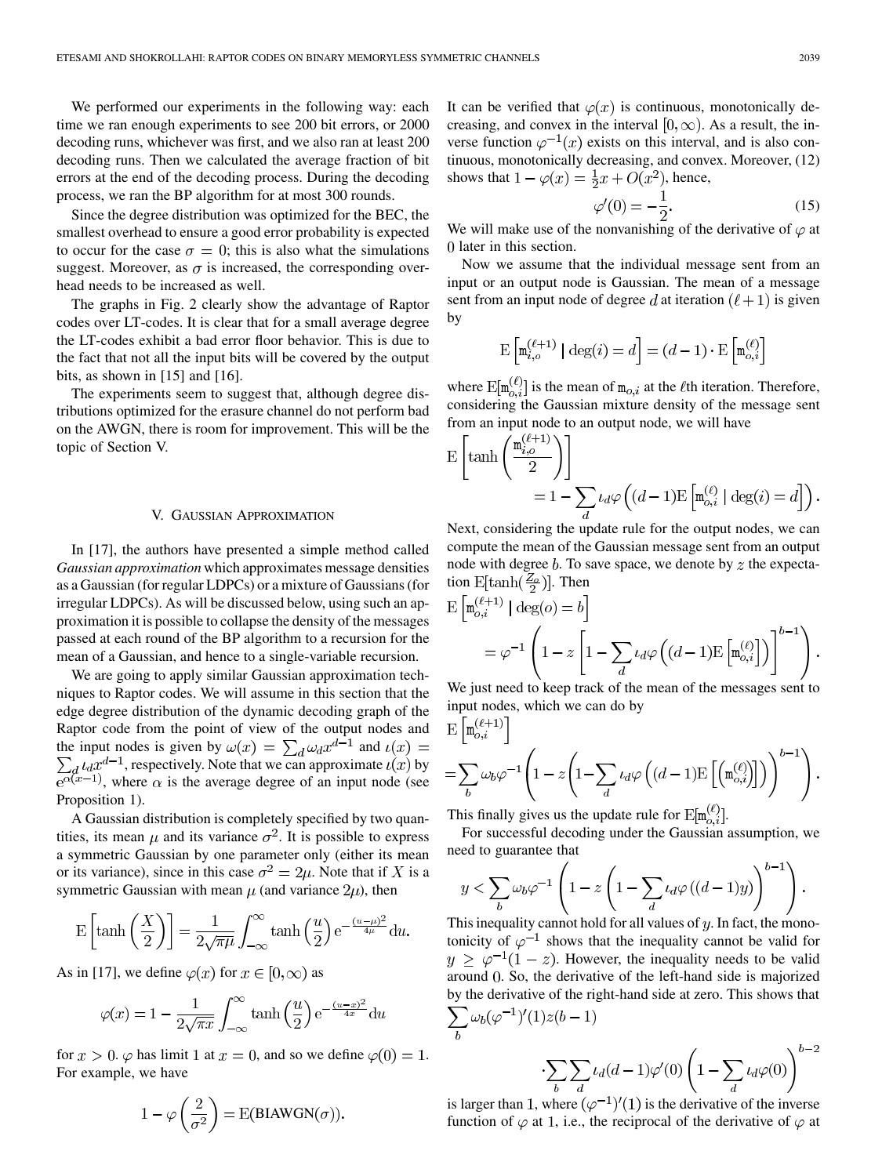We performed our experiments in the following way: each time we ran enough experiments to see 200 bit errors, or 2000 decoding runs, whichever was first, and we also ran at least 200 decoding runs. Then we calculated the average fraction of bit errors at the end of the decoding process. During the decoding process, we ran the BP algorithm for at most 300 rounds.

Since the degree distribution was optimized for the BEC, the smallest overhead to ensure a good error probability is expected to occur for the case  $\sigma = 0$ ; this is also what the simulations suggest. Moreover, as  $\sigma$  is increased, the corresponding overhead needs to be increased as well.

The graphs in Fig. 2 clearly show the advantage of Raptor codes over LT-codes. It is clear that for a small average degree the LT-codes exhibit a bad error floor behavior. This is due to the fact that not all the input bits will be covered by the output bits, as shown in [\[15](#page-18-0)] and [[16\]](#page-18-0).

The experiments seem to suggest that, although degree distributions optimized for the erasure channel do not perform bad on the AWGN, there is room for improvement. This will be the topic of Section V.

#### V. GAUSSIAN APPROXIMATION

In [\[17](#page-18-0)], the authors have presented a simple method called *Gaussian approximation* which approximates message densities as a Gaussian (for regular LDPCs) or a mixture of Gaussians (for irregular LDPCs). As will be discussed below, using such an approximation it is possible to collapse the density of the messages passed at each round of the BP algorithm to a recursion for the mean of a Gaussian, and hence to a single-variable recursion.

We are going to apply similar Gaussian approximation techniques to Raptor codes. We will assume in this section that the edge degree distribution of the dynamic decoding graph of the Raptor code from the point of view of the output nodes and the input nodes is given by  $\omega(x) = \sum_{d} \omega_d x^{d-1}$  and , respectively. Note that we can approximate  $\iota(x)$  by , where  $\alpha$  is the average degree of an input node (see Proposition 1).

A Gaussian distribution is completely specified by two quantities, its mean  $\mu$  and its variance  $\sigma^2$ . It is possible to express a symmetric Gaussian by one parameter only (either its mean or its variance), since in this case  $\sigma^2 = 2\mu$ . Note that if X is a symmetric Gaussian with mean  $\mu$  (and variance  $2\mu$ ), then

$$
E\left[\tanh\left(\frac{X}{2}\right)\right] = \frac{1}{2\sqrt{\pi\mu}} \int_{-\infty}^{\infty} \tanh\left(\frac{u}{2}\right) e^{-\frac{(u-\mu)^2}{4\mu}} du.
$$

As in [[17\]](#page-18-0), we define  $\varphi(x)$  for  $x \in [0, \infty)$  as

$$
\varphi(x) = 1 - \frac{1}{2\sqrt{\pi x}} \int_{-\infty}^{\infty} \tanh\left(\frac{u}{2}\right) e^{-\frac{(u-x)^2}{4x}} du
$$

for  $x > 0$ .  $\varphi$  has limit 1 at  $x = 0$ , and so we define  $\varphi(0) = 1$ . For example, we have

$$
1 - \varphi\left(\frac{2}{\sigma^2}\right) = \text{E(BIAWGN}(\sigma)).
$$

It can be verified that  $\varphi(x)$  is continuous, monotonically decreasing, and convex in the interval  $[0, \infty)$ . As a result, the inverse function  $\varphi^{-1}(x)$  exists on this interval, and is also continuous, monotonically decreasing, and convex. Moreover, (12) shows that  $1 - \varphi(x) = \frac{1}{2}x + O(x^2)$ , hence,

$$
\varphi'(0) = -\frac{1}{2}.\tag{15}
$$

We will make use of the nonvanishing of the derivative of  $\varphi$  at later in this section.

Now we assume that the individual message sent from an input or an output node is Gaussian. The mean of a message sent from an input node of degree d at iteration  $(\ell + 1)$  is given by

$$
\mathbf{E}\left[\mathbf{m}_{i,o}^{(\ell+1)} \mid \text{deg}(i) = d\right] = (d-1) \cdot \mathbf{E}\left[\mathbf{m}_{o,i}^{(\ell)}\right]
$$

where  $E[m_{o,i}^{(\ell)}]$  is the mean of  $m_{o,i}$  at the  $\ell$ th iteration. Therefore, considering the Gaussian mixture density of the message sent from an input node to an output node, we will have

$$
\mathcal{E}\left[\tanh\left(\frac{\mathfrak{m}_{i,o}^{(\ell+1)}}{2}\right)\right]
$$
  
=  $1 - \sum_{d} \iota_d \varphi\left((d-1)\mathcal{E}\left[\mathfrak{m}_{o,i}^{(\ell)} \mid \deg(i) = d\right]\right).$ 

Next, considering the update rule for the output nodes, we can compute the mean of the Gaussian message sent from an output node with degree  $b$ . To save space, we denote by  $z$  the expectation  $\mathbb{E}[\tanh(\frac{Z_o}{2})]$ . Then

$$
\begin{aligned} \mathbf{E}\left[\mathbf{m}_{o,i}^{(\ell+1)} \mid \deg(o) = b\right] \\ &= \varphi^{-1} \left(1 - z \left[1 - \sum_{d} \iota_d \varphi\left((d-1)\mathbf{E}\left[\mathbf{m}_{o,i}^{(\ell)}\right]\right)\right]^{b-1}\right). \end{aligned}
$$

We just need to keep track of the mean of the messages sent to input nodes, which we can do by

$$
\begin{split} & \mathcal{E}\left[\mathfrak{m}_{o,i}^{(\ell+1)}\right] \\ & = \sum_{b} \omega_b \varphi^{-1} \left(1 - z \left(1 - \sum_{d} \iota_d \varphi\left((d-1) \mathcal{E}\left[\left(\mathfrak{m}_{o,i}^{(\ell)}\right]\right]\right)\right)^{b-1}\right). \end{split}
$$

This finally gives us the update rule for  $E[\mathbf{m}_{o,i}^{\prime\prime}]$ .

For successful decoding under the Gaussian assumption, we need to guarantee that  $\mathbf{r}$  and

$$
y < \sum_{b} \omega_b \varphi^{-1} \left( 1 - z \left( 1 - \sum_{d} \iota_d \varphi \left( (d-1)y \right) \right)^{b-1} \right).
$$

This inequality cannot hold for all values of  $y$ . In fact, the monotonicity of  $\varphi^{-1}$  shows that the inequality cannot be valid for  $y \geq \varphi^{-1}(1-z)$ . However, the inequality needs to be valid around 0. So, the derivative of the left-hand side is majorized by the derivative of the right-hand side at zero. This shows that  $\sum_{b} \omega_b (\varphi^{-1})'(1) z(b-1)$ 

$$
\sum_{b} \sum_{d} \iota_d(d-1)\varphi'(0) \left(1 - \sum_{d} \iota_d \varphi(0)\right)^{b-2}
$$

is larger than 1, where  $(\varphi^{-1})'(1)$  is the derivative of the inverse function of  $\varphi$  at 1, i.e., the reciprocal of the derivative of  $\varphi$  at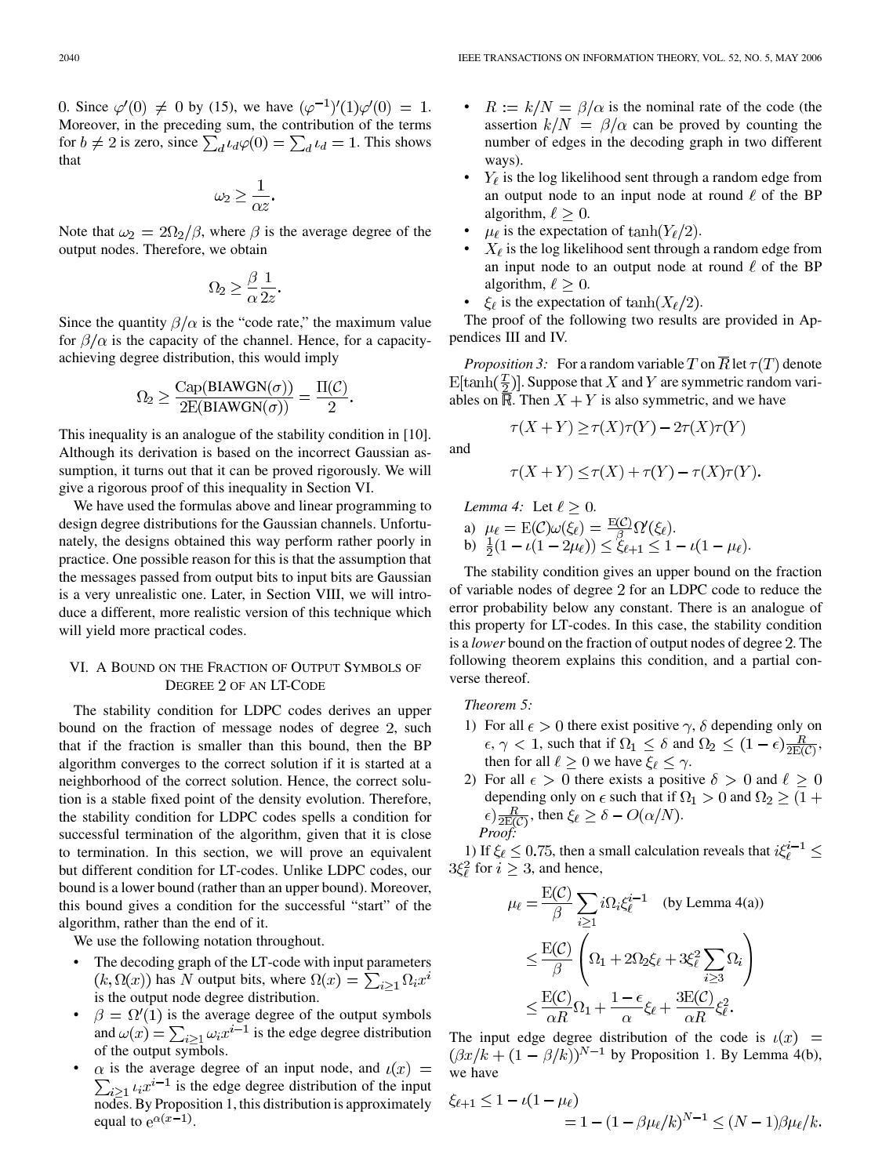0. Since  $\varphi'(0) \neq 0$  by (15), we have  $(\varphi^{-1})'(1)\varphi'(0) = 1$ . Moreover, in the preceding sum, the contribution of the terms for  $b \neq 2$  is zero, since  $\sum_d \iota_d \varphi(0) = \sum_d \iota_d = 1$ . This shows that

$$
\omega_2 \geq \frac{1}{\alpha z}.
$$

Note that  $\omega_2 = 2\Omega_2/\beta$ , where  $\beta$  is the average degree of the output nodes. Therefore, we obtain

$$
\Omega_2 \geq \frac{\beta}{\alpha} \frac{1}{2z}
$$

Since the quantity  $\beta/\alpha$  is the "code rate," the maximum value for  $\beta/\alpha$  is the capacity of the channel. Hence, for a capacityachieving degree distribution, this would imply

$$
\Omega_2 \ge \frac{\text{Cap(BIAWGN}(\sigma))}{2\text{E(BIAWGN}(\sigma))} = \frac{\Pi(\mathcal{C})}{2}.
$$

This inequality is an analogue of the stability condition in [[10\]](#page-18-0). Although its derivation is based on the incorrect Gaussian assumption, it turns out that it can be proved rigorously. We will give a rigorous proof of this inequality in Section VI.

We have used the formulas above and linear programming to design degree distributions for the Gaussian channels. Unfortunately, the designs obtained this way perform rather poorly in practice. One possible reason for this is that the assumption that the messages passed from output bits to input bits are Gaussian is a very unrealistic one. Later, in Section VIII, we will introduce a different, more realistic version of this technique which will yield more practical codes.

# VI. A BOUND ON THE FRACTION OF OUTPUT SYMBOLS OF DEGREE 2 OF AN LT-CODE

The stability condition for LDPC codes derives an upper bound on the fraction of message nodes of degree 2, such that if the fraction is smaller than this bound, then the BP algorithm converges to the correct solution if it is started at a neighborhood of the correct solution. Hence, the correct solution is a stable fixed point of the density evolution. Therefore, the stability condition for LDPC codes spells a condition for successful termination of the algorithm, given that it is close to termination. In this section, we will prove an equivalent but different condition for LT-codes. Unlike LDPC codes, our bound is a lower bound (rather than an upper bound). Moreover, this bound gives a condition for the successful "start" of the algorithm, rather than the end of it.

We use the following notation throughout.

- The decoding graph of the LT-code with input parameters  $(k, \Omega(x))$  has N output bits, where  $\Omega(x) = \sum_{i>1} \Omega_i x^i$ is the output node degree distribution.
- $\beta = \Omega'(1)$  is the average degree of the output symbols and  $\omega(x) = \sum_{i \geq 1} \omega_i x^{i-1}$  is the edge degree distribution of the output symbols.
- $\alpha$  is the average degree of an input node, and  $\iota(x)$  =  $\sum_{i\geq 1} t_i x^{i-1}$  is the edge degree distribution of the input nodes. By Proposition 1, this distribution is approximately equal to  $e^{\alpha(x-1)}$ .
- $R := k/N = \beta/\alpha$  is the nominal rate of the code (the assertion  $k/N = \beta/\alpha$  can be proved by counting the number of edges in the decoding graph in two different ways).
- $Y_\ell$  is the log likelihood sent through a random edge from an output node to an input node at round  $\ell$  of the BP algorithm,  $\ell \geq 0$ .
- $\mu_{\ell}$  is the expectation of  $\tanh(Y_{\ell}/2)$ .
- $X_{\ell}$  is the log likelihood sent through a random edge from an input node to an output node at round  $\ell$  of the BP algorithm,  $\ell \geq 0$ .
- $\xi_{\ell}$  is the expectation of  $\tanh(X_{\ell}/2)$ .

The proof of the following two results are provided in Appendices III and IV.

*Proposition 3:* For a random variable T on  $\overline{R}$  let  $\tau(T)$  denote  $\mathbb{E}[\tanh(\frac{T}{2})]$ . Suppose that X and Y are symmetric random variables on  $\overline{\mathbb{R}}$ . Then  $X + Y$  is also symmetric, and we have

$$
\tau(X+Y) \ge \tau(X)\tau(Y) - 2\tau(X)\tau(Y)
$$

and

$$
\tau(X+Y) \le \tau(X) + \tau(Y) - \tau(X)\tau(Y).
$$

Lemma 4: Let 
$$
\ell \geq 0
$$
.  
\na)  $\mu_{\ell} = E(C)\omega(\xi_{\ell}) = \frac{E(C)}{\beta} \Omega'(\xi_{\ell})$ .  
\nb)  $\frac{1}{2}(1 - \iota(1 - 2\mu_{\ell})) \leq \xi_{\ell+1} \leq 1 - \iota(1 - \mu_{\ell})$ .

The stability condition gives an upper bound on the fraction of variable nodes of degree 2 for an LDPC code to reduce the error probability below any constant. There is an analogue of this property for LT-codes. In this case, the stability condition is a *lower* bound on the fraction of output nodes of degree 2. The following theorem explains this condition, and a partial converse thereof.

*Theorem 5:*

- 1) For all  $\epsilon > 0$  there exist positive  $\gamma$ ,  $\delta$  depending only on  $\epsilon, \gamma < 1$ , such that if  $\Omega_1 \leq \delta$  and  $\Omega_2 \leq (1 - \epsilon) \frac{R}{2E(\mathcal{C})}$ , then for all  $\ell \geq 0$  we have  $\xi_{\ell} \leq \gamma$ .
- 2) For all  $\epsilon > 0$  there exists a positive  $\delta > 0$  and  $\ell \geq 0$ depending only on  $\epsilon$  such that if  $\Omega_1 > 0$  and  $\Omega_2 \ge (1 +$  $\epsilon) \frac{R}{2E(C)}$ , then  $\xi_{\ell} \geq \delta - O(\alpha/N)$ . *Proof:*

1) If  $\xi_{\ell} \leq 0.75$ , then a small calculation reveals that  $i\xi_{\ell}^{i-1} \leq$  $3\xi_i^2$  for  $i \geq 3$ , and hence,

$$
\mu_{\ell} = \frac{\mathrm{E}(C)}{\beta} \sum_{i \ge 1} i \Omega_i \xi_{\ell}^{i-1} \quad \text{(by Lemma 4(a))}
$$
\n
$$
\le \frac{\mathrm{E}(C)}{\beta} \left( \Omega_1 + 2 \Omega_2 \xi_{\ell} + 3 \xi_{\ell}^2 \sum_{i \ge 3} \Omega_i \right)
$$
\n
$$
\le \frac{\mathrm{E}(C)}{\alpha R} \Omega_1 + \frac{1 - \epsilon}{\alpha} \xi_{\ell} + \frac{3 \mathrm{E}(C)}{\alpha R} \xi_{\ell}^2.
$$

The input edge degree distribution of the code is  $\iota(x)$  =  $(\beta x/k + (1 - \beta/k))^{N-1}$  by Proposition 1. By Lemma 4(b), we have

$$
\xi_{\ell+1} \le 1 - \iota(1 - \mu_{\ell})
$$
  
= 1 - (1 - \beta \mu\_{\ell}/k)^{N-1} \le (N - 1)\beta \mu\_{\ell}/k.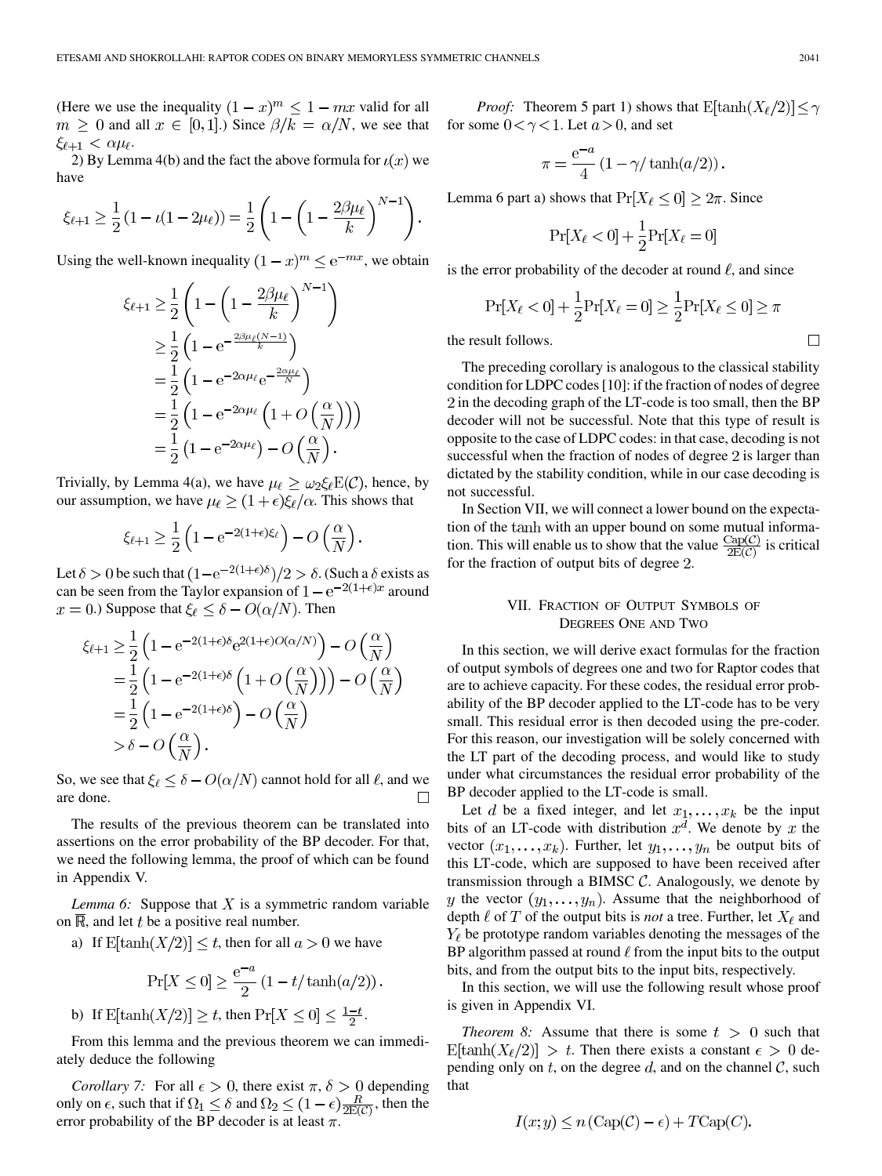(Here we use the inequality  $(1-x)^m \leq 1 - mx$  valid for all  $m \geq 0$  and all  $x \in [0,1]$ .) Since  $\beta/k = \alpha/N$ , we see that  $\xi_{\ell+1} < \alpha \mu_{\ell}.$ 

2) By Lemma 4(b) and the fact the above formula for  $\iota(x)$  we have

$$
\xi_{\ell+1} \ge \frac{1}{2} \left( 1 - \iota (1 - 2\mu_{\ell}) \right) = \frac{1}{2} \left( 1 - \left( 1 - \frac{2\beta\mu_{\ell}}{k} \right)^{N-1} \right).
$$

Using the well-known inequality  $(1-x)^m \le e^{-mx}$ , we obtain

$$
\xi_{\ell+1} \geq \frac{1}{2} \left( 1 - \left( 1 - \frac{2\beta \mu_{\ell}}{k} \right)^{N-1} \right)
$$
  
\n
$$
\geq \frac{1}{2} \left( 1 - e^{-\frac{2\beta \mu_{\ell}(N-1)}{k}} \right)
$$
  
\n
$$
= \frac{1}{2} \left( 1 - e^{-2\alpha \mu_{\ell}} e^{-\frac{2\alpha \mu_{\ell}}{N}} \right)
$$
  
\n
$$
= \frac{1}{2} \left( 1 - e^{-2\alpha \mu_{\ell}} \left( 1 + O\left(\frac{\alpha}{N}\right) \right) \right)
$$
  
\n
$$
= \frac{1}{2} \left( 1 - e^{-2\alpha \mu_{\ell}} \right) - O\left(\frac{\alpha}{N}\right).
$$

Trivially, by Lemma 4(a), we have  $\mu_{\ell} \geq \omega_2 \xi_{\ell} E(\mathcal{C})$ , hence, by our assumption, we have  $\mu_{\ell} \geq (1+\epsilon)\xi_{\ell}/\alpha$ . This shows that

$$
\xi_{\ell+1} \ge \frac{1}{2} \left( 1 - e^{-2(1+\epsilon)\xi_{\ell}} \right) - O\left(\frac{\alpha}{N}\right).
$$

Let  $\delta > 0$  be such that  $(1 - e^{-2(1+\epsilon)\delta})/2 > \delta$ . (Such a  $\delta$  exists as can be seen from the Taylor expansion of  $1 - e^{-2(1+\epsilon)x}$  around  $x = 0$ .) Suppose that  $\xi_{\ell} \leq \delta - O(\alpha/N)$ . Then

$$
\xi_{\ell+1} \ge \frac{1}{2} \left( 1 - e^{-2(1+\epsilon)\delta} e^{2(1+\epsilon)O(\alpha/N)} \right) - O\left(\frac{\alpha}{N}\right)
$$
  
=  $\frac{1}{2} \left( 1 - e^{-2(1+\epsilon)\delta} \left( 1 + O\left(\frac{\alpha}{N}\right) \right) \right) - O\left(\frac{\alpha}{N}\right)$   
=  $\frac{1}{2} \left( 1 - e^{-2(1+\epsilon)\delta} \right) - O\left(\frac{\alpha}{N}\right)$   
>  $\delta - O\left(\frac{\alpha}{N}\right).$ 

So, we see that  $\xi_{\ell} \leq \delta - O(\alpha/N)$  cannot hold for all  $\ell$ , and we are done.  $\Box$ 

The results of the previous theorem can be translated into assertions on the error probability of the BP decoder. For that, we need the following lemma, the proof of which can be found in Appendix V.

*Lemma 6:* Suppose that  $X$  is a symmetric random variable on  $\overline{\mathbb{R}}$ , and let t be a positive real number.

a) If  $E[\tanh(X/2)] \le t$ , then for all  $a > 0$  we have

$$
\Pr[X \le 0] \ge \frac{e^{-a}}{2} \left(1 - t/\tanh(a/2)\right).
$$

b) If  $E[\tanh(X/2)] \geq t$ , then  $\Pr[X \leq 0] \leq \frac{1-t}{2}$ .

From this lemma and the previous theorem we can immediately deduce the following

*Corollary 7:* For all  $\epsilon > 0$ , there exist  $\pi$ ,  $\delta > 0$  depending only on  $\epsilon$ , such that if  $\Omega_1 \leq \delta$  and  $\Omega_2 \leq (1 - \epsilon) \frac{R}{2E(C)}$ , then the error probability of the BP decoder is at least  $\pi$ .

*Proof:* Theorem 5 part 1) shows that  $E[\tanh(X_\ell/2)] \leq \gamma$ for some  $0 < \gamma < 1$ . Let  $a > 0$ , and set

$$
\pi = \frac{e^{-a}}{4} \left( 1 - \gamma / \tanh(a/2) \right).
$$

Lemma 6 part a) shows that  $Pr[X_\ell \leq 0] \geq 2\pi$ . Since

$$
\Pr[X_{\ell} < 0] + \frac{1}{2}\Pr[X_{\ell} = 0]
$$

is the error probability of the decoder at round  $\ell$ , and since

$$
\Pr[X_{\ell} < 0] + \frac{1}{2} \Pr[X_{\ell} = 0] \ge \frac{1}{2} \Pr[X_{\ell} \le 0] \ge \pi
$$

the result follows.

The preceding corollary is analogous to the classical stability condition for LDPC codes [[10\]](#page-18-0): if the fraction of nodes of degree 2 in the decoding graph of the LT-code is too small, then the BP decoder will not be successful. Note that this type of result is opposite to the case of LDPC codes: in that case, decoding is not successful when the fraction of nodes of degree  $2$  is larger than dictated by the stability condition, while in our case decoding is not successful.

In Section VII, we will connect a lower bound on the expectation of the tanh with an upper bound on some mutual information. This will enable us to show that the value  $\frac{\text{Cap}(C)}{2E(C)}$  is critical for the fraction of output bits of degree 2.

## VII. FRACTION OF OUTPUT SYMBOLS OF DEGREES ONE AND TWO

In this section, we will derive exact formulas for the fraction of output symbols of degrees one and two for Raptor codes that are to achieve capacity. For these codes, the residual error probability of the BP decoder applied to the LT-code has to be very small. This residual error is then decoded using the pre-coder. For this reason, our investigation will be solely concerned with the LT part of the decoding process, and would like to study under what circumstances the residual error probability of the BP decoder applied to the LT-code is small.

Let d be a fixed integer, and let  $x_1, \ldots, x_k$  be the input bits of an LT-code with distribution  $x^d$ . We denote by x the vector  $(x_1, \ldots, x_k)$ . Further, let  $y_1, \ldots, y_n$  be output bits of this LT-code, which are supposed to have been received after transmission through a BIMSC  $C$ . Analogously, we denote by y the vector  $(y_1, \ldots, y_n)$ . Assume that the neighborhood of depth  $\ell$  of T of the output bits is *not* a tree. Further, let  $X_{\ell}$  and  $Y_{\ell}$  be prototype random variables denoting the messages of the BP algorithm passed at round  $\ell$  from the input bits to the output bits, and from the output bits to the input bits, respectively.

In this section, we will use the following result whose proof is given in Appendix VI.

*Theorem 8:* Assume that there is some  $t > 0$  such that  $\text{E[tanh}(X_{\ell}/2)] > t$ . Then there exists a constant  $\epsilon > 0$  depending only on t, on the degree d, and on the channel  $\mathcal{C}$ , such that

$$
I(x; y) \le n \left( \text{Cap}(\mathcal{C}) - \epsilon \right) + T\text{Cap}(C).
$$

 $\Box$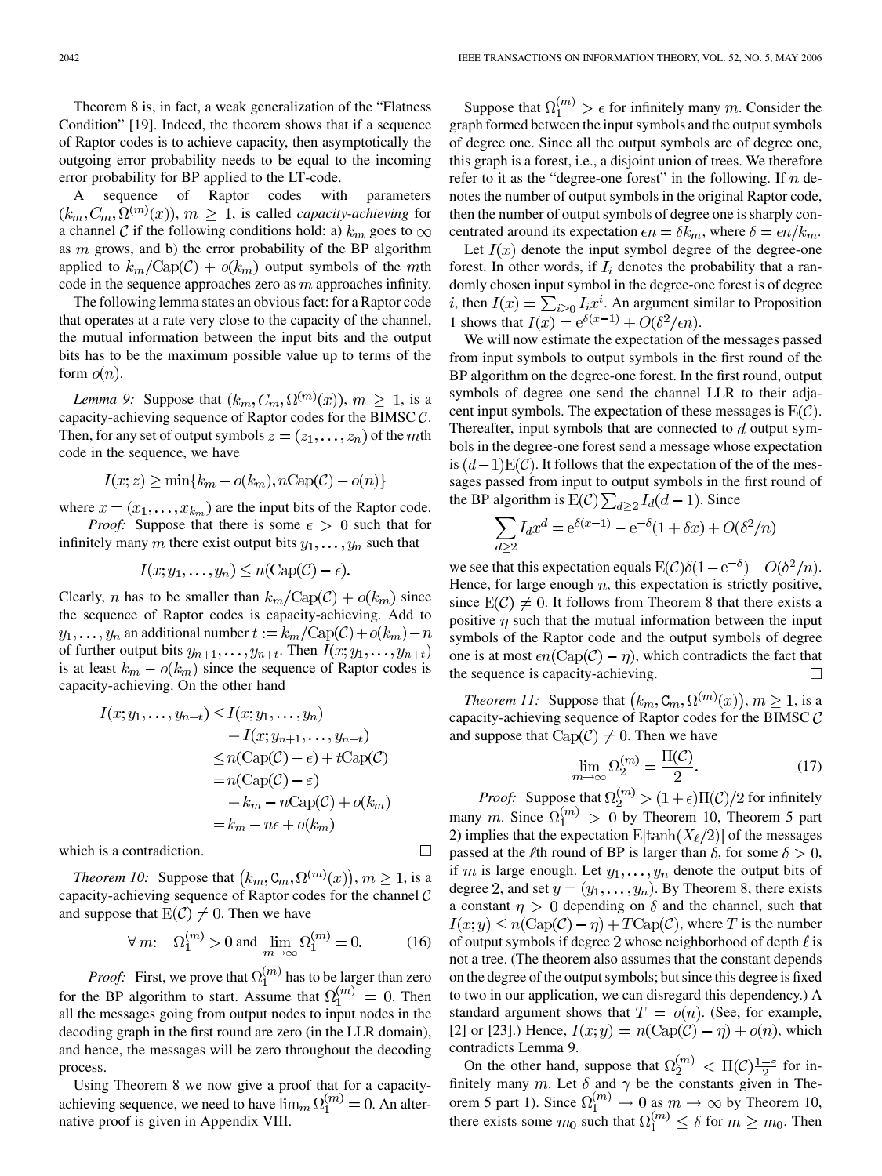Theorem 8 is, in fact, a weak generalization of the "Flatness Condition" [\[19](#page-18-0)]. Indeed, the theorem shows that if a sequence of Raptor codes is to achieve capacity, then asymptotically the outgoing error probability needs to be equal to the incoming error probability for BP applied to the LT-code.

A sequence of Raptor codes with parameters  $(k_m, C_m, \Omega^{(m)}(x))$ ,  $m \geq 1$ , is called *capacity-achieving* for a channel C if the following conditions hold: a)  $k_m$  goes to  $\infty$ as  $m$  grows, and b) the error probability of the BP algorithm applied to  $k_m/\text{Cap}(\mathcal{C}) + o(k_m)$  output symbols of the mth code in the sequence approaches zero as  $m$  approaches infinity.

The following lemma states an obvious fact: for a Raptor code that operates at a rate very close to the capacity of the channel, the mutual information between the input bits and the output bits has to be the maximum possible value up to terms of the form  $o(n)$ .

*Lemma 9:* Suppose that  $(k_m, C_m, \Omega^{(m)}(x))$ ,  $m \geq 1$ , is a capacity-achieving sequence of Raptor codes for the BIMSC  $C$ . Then, for any set of output symbols  $z = (z_1, \ldots, z_n)$  of the mth code in the sequence, we have

$$
I(x; z) \ge \min\{k_m - o(k_m), n \text{Cap}(\mathcal{C}) - o(n)\}
$$

where  $x = (x_1, \ldots, x_{k_m})$  are the input bits of the Raptor code.

*Proof:* Suppose that there is some  $\epsilon > 0$  such that for infinitely many m there exist output bits  $y_1, \ldots, y_n$  such that

$$
I(x; y_1, \ldots, y_n) \le n(\text{Cap}(\mathcal{C}) - \epsilon).
$$

Clearly, *n* has to be smaller than  $k_m/Cap(C) + o(k_m)$  since the sequence of Raptor codes is capacity-achieving. Add to  $y_1, \ldots, y_n$  an additional number  $t := k_m / \text{Cap}(\mathcal{C}) + o(k_m) - n$ of further output bits  $y_{n+1}, \ldots, y_{n+t}$ . Then  $I(x; y_1, \ldots, y_{n+t})$ is at least  $k_m - o(k_m)$  since the sequence of Raptor codes is capacity-achieving. On the other hand

$$
I(x; y_1, \dots, y_{n+t}) \leq I(x; y_1, \dots, y_n)
$$
  
+ 
$$
I(x; y_{n+1}, \dots, y_{n+t})
$$
  

$$
\leq n(\text{Cap}(\mathcal{C}) - \epsilon) + t\text{Cap}(\mathcal{C})
$$
  
= 
$$
n(\text{Cap}(\mathcal{C}) - \epsilon)
$$
  
+ 
$$
k_m - n\text{Cap}(\mathcal{C}) + o(k_m)
$$
  
= 
$$
k_m - n\epsilon + o(k_m)
$$

which is a contradiction.

*Theorem 10:* Suppose that  $(k_m, C_m, \Omega^{(m)}(x))$ ,  $m \ge 1$ , is a capacity-achieving sequence of Raptor codes for the channel  $C$ and suppose that  $E(C) \neq 0$ . Then we have

$$
\forall m: \quad \Omega_1^{(m)} > 0 \text{ and } \lim_{m \to \infty} \Omega_1^{(m)} = 0. \tag{16}
$$

*Proof:* First, we prove that  $\Omega_1^{(m)}$  has to be larger than zero for the BP algorithm to start. Assume that  $\Omega_1^{(m)} = 0$ . Then all the messages going from output nodes to input nodes in the decoding graph in the first round are zero (in the LLR domain), and hence, the messages will be zero throughout the decoding process.

Using Theorem 8 we now give a proof that for a capacityachieving sequence, we need to have  $\lim_{m} \Omega_1^{(m)} = 0$ . An alternative proof is given in Appendix VIII.

Suppose that  $\Omega_1^{(m)} > \epsilon$  for infinitely many m. Consider the graph formed between the input symbols and the output symbols of degree one. Since all the output symbols are of degree one, this graph is a forest, i.e., a disjoint union of trees. We therefore refer to it as the "degree-one forest" in the following. If  $n$  denotes the number of output symbols in the original Raptor code, then the number of output symbols of degree one is sharply concentrated around its expectation  $\epsilon n = \delta k_m$ , where  $\delta = \epsilon n / k_m$ .

Let  $I(x)$  denote the input symbol degree of the degree-one forest. In other words, if  $I_i$  denotes the probability that a randomly chosen input symbol in the degree-one forest is of degree , then  $I(x) = \sum_{i>0} I_i x^i$ . An argument similar to Proposition 1 shows that  $I(x) = e^{\delta(x-1)} + O(\delta^2/\epsilon n)$ .

We will now estimate the expectation of the messages passed from input symbols to output symbols in the first round of the BP algorithm on the degree-one forest. In the first round, output symbols of degree one send the channel LLR to their adjacent input symbols. The expectation of these messages is  $E(\mathcal{C})$ . Thereafter, input symbols that are connected to  $d$  output symbols in the degree-one forest send a message whose expectation is  $(d-1)E(\mathcal{C})$ . It follows that the expectation of the of the messages passed from input to output symbols in the first round of the BP algorithm is  $E(C) \sum_{d \geq 2} I_d(d-1)$ . Since

$$
\sum_{d\geq 2}I_dx^d = e^{\delta(x-1)} - e^{-\delta}(1+\delta x) + O(\delta^2/n)
$$

we see that this expectation equals  $E(\mathcal{C})\delta(1-e^{-\delta})+O(\delta^2/n)$ . Hence, for large enough  $n$ , this expectation is strictly positive, since  $E(\mathcal{C}) \neq 0$ . It follows from Theorem 8 that there exists a positive  $\eta$  such that the mutual information between the input symbols of the Raptor code and the output symbols of degree one is at most  $\epsilon n$ (Cap(C) –  $\eta$ ), which contradicts the fact that the sequence is capacity-achieving.

*Theorem 11:* Suppose that  $(k_m, C_m, \Omega^{(m)}(x))$ ,  $m \ge 1$ , is a capacity-achieving sequence of Raptor codes for the BIMSC  $\mathcal C$ and suppose that  $Cap(\mathcal{C}) \neq 0$ . Then we have

$$
\lim_{m \to \infty} \Omega_2^{(m)} = \frac{\Pi(\mathcal{C})}{2}.
$$
\n(17)

*Proof:* Suppose that  $\Omega_2^{(m)} > (1+\epsilon)\Pi(\mathcal{C})/2$  for infinitely many m. Since  $\Omega_1^{(m)} > 0$  by Theorem 10, Theorem 5 part 2) implies that the expectation  $E[\tanh(X_\ell/2)]$  of the messages passed at the *l*th round of BP is larger than  $\delta$ , for some  $\delta > 0$ , if m is large enough. Let  $y_1, \ldots, y_n$  denote the output bits of degree 2, and set  $y = (y_1, \ldots, y_n)$ . By Theorem 8, there exists a constant  $\eta > 0$  depending on  $\delta$  and the channel, such that  $I(x; y) \leq n(\text{Cap}(\mathcal{C}) - \eta) + T\text{Cap}(\mathcal{C})$ , where T is the number of output symbols if degree 2 whose neighborhood of depth  $\ell$  is not a tree. (The theorem also assumes that the constant depends on the degree of the output symbols; but since this degree is fixed to two in our application, we can disregard this dependency.) A standard argument shows that  $T = o(n)$ . (See, for example, [[2\]](#page-18-0) or [[23\]](#page-18-0).) Hence,  $I(x; y) = n(\text{Cap}(\mathcal{C}) - \eta) + o(n)$ , which contradicts Lemma 9.

On the other hand, suppose that  $\Omega_2^{(m)} < \Pi(\mathcal{C})\frac{1-\varepsilon}{2}$  for infinitely many m. Let  $\delta$  and  $\gamma$  be the constants given in Theorem 5 part 1). Since  $\Omega_1^{(m)} \to 0$  as  $m \to \infty$  by Theorem 10, there exists some  $m_0$  such that  $\Omega_1^{(m)} \leq \delta$  for  $m \geq m_0$ . Then

$$
\Box
$$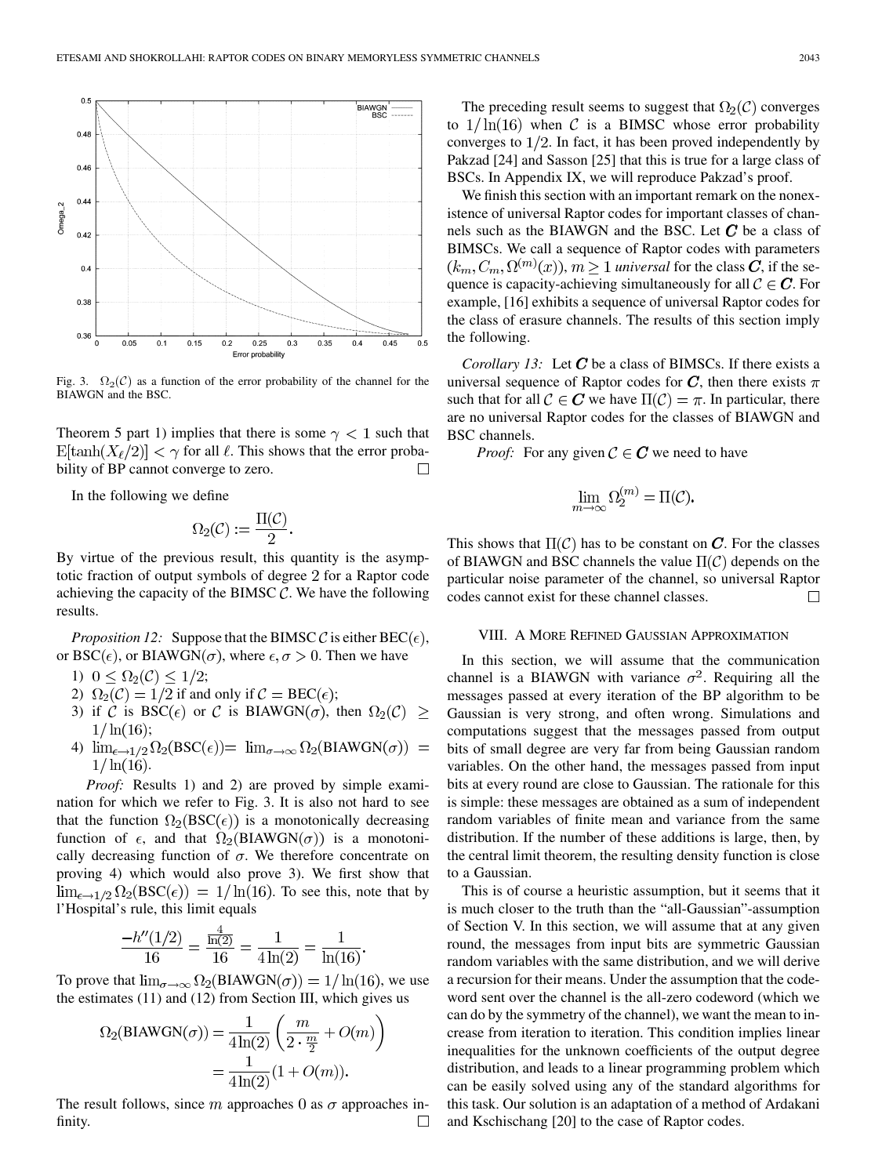

Fig. 3.  $\Omega_2(\mathcal{C})$  as a function of the error probability of the channel for the BIAWGN and the BSC.

Theorem 5 part 1) implies that there is some  $\gamma$  < 1 such that  $\mathbb{E}[\tanh(X_\ell/2)] < \gamma$  for all  $\ell$ . This shows that the error probability of BP cannot converge to zero.  $\Box$ 

In the following we define

$$
\Omega_2(\mathcal{C}) := \frac{\Pi(\mathcal{C})}{2}.
$$

By virtue of the previous result, this quantity is the asymptotic fraction of output symbols of degree 2 for a Raptor code achieving the capacity of the BIMSC  $C$ . We have the following results.

*Proposition 12:* Suppose that the BIMSC C is either  $BEC(\epsilon)$ , or BSC( $\epsilon$ ), or BIAWGN( $\sigma$ ), where  $\epsilon, \sigma > 0$ . Then we have

- 1)  $0 \leq \Omega_2(\mathcal{C}) \leq 1/2;$
- 2)  $\Omega_2(\mathcal{C}) = 1/2$  if and only if  $\mathcal{C} = \text{BEC}(\epsilon);$
- 3) if C is BSC( $\epsilon$ ) or C is BIAWGN( $\sigma$ ), then  $\Omega_2(\mathcal{C}) \geq$  $1/\ln(16);$
- 4)  $\lim_{\epsilon \to 1/2} \Omega_2(BSC(\epsilon)) = \lim_{\sigma \to \infty} \Omega_2(BIAWGN(\sigma)) =$  $1/\ln(16)$ .

*Proof:* Results 1) and 2) are proved by simple examination for which we refer to Fig. 3. It is also not hard to see that the function  $\Omega_2(BSC(\epsilon))$  is a monotonically decreasing function of  $\epsilon$ , and that  $\Omega_2(BIAWGN(\sigma))$  is a monotonically decreasing function of  $\sigma$ . We therefore concentrate on proving 4) which would also prove 3). We first show that  $\lim_{\epsilon \to 1/2} \Omega_2(BSC(\epsilon)) = 1/\ln(16)$ . To see this, note that by l'Hospital's rule, this limit equals

$$
\frac{-h''(1/2)}{16} = \frac{\frac{4}{\ln(2)}}{16} = \frac{1}{4\ln(2)} = \frac{1}{\ln(16)}.
$$

To prove that  $\lim_{\sigma \to \infty} \Omega_2(BIAWGN(\sigma)) = 1/\ln(16)$ , we use the estimates (11) and (12) from Section III, which gives us

$$
\Omega_2(\text{BIAWGN}(\sigma)) = \frac{1}{4\ln(2)} \left( \frac{m}{2 \cdot \frac{m}{2}} + O(m) \right)
$$

$$
= \frac{1}{4\ln(2)} (1 + O(m)).
$$

The result follows, since m approaches 0 as  $\sigma$  approaches infinity.  $\Box$ 

The preceding result seems to suggest that  $\Omega_2(\mathcal{C})$  converges to  $1/\ln(16)$  when C is a BIMSC whose error probability converges to  $1/2$ . In fact, it has been proved independently by Pakzad [[24\]](#page-18-0) and Sasson [[25\]](#page-18-0) that this is true for a large class of BSCs. In Appendix IX, we will reproduce Pakzad's proof.

We finish this section with an important remark on the nonexistence of universal Raptor codes for important classes of channels such as the BIAWGN and the BSC. Let  $\mathcal C$  be a class of BIMSCs. We call a sequence of Raptor codes with parameters  $(k_m, C_m, \Omega^{(m)}(x))$ ,  $m \ge 1$  *universal* for the class C, if the sequence is capacity-achieving simultaneously for all  $C \in \mathbb{C}$ . For example, [[16\]](#page-18-0) exhibits a sequence of universal Raptor codes for the class of erasure channels. The results of this section imply the following.

*Corollary 13:* Let  $C$  be a class of BIMSCs. If there exists a universal sequence of Raptor codes for C, then there exists  $\pi$ such that for all  $C \in \mathbf{C}$  we have  $\Pi(C) = \pi$ . In particular, there are no universal Raptor codes for the classes of BIAWGN and BSC channels.

*Proof:* For any given  $C \in \mathbb{C}$  we need to have

$$
\lim_{m\to\infty}\Omega_2^{(m)}=\Pi(\mathcal{C})
$$

This shows that  $\Pi(\mathcal{C})$  has to be constant on C. For the classes of BIAWGN and BSC channels the value  $\Pi(\mathcal{C})$  depends on the particular noise parameter of the channel, so universal Raptor codes cannot exist for these channel classes.  $\Box$ 

#### VIII. A MORE REFINED GAUSSIAN APPROXIMATION

In this section, we will assume that the communication channel is a BIAWGN with variance  $\sigma^2$ . Requiring all the messages passed at every iteration of the BP algorithm to be Gaussian is very strong, and often wrong. Simulations and computations suggest that the messages passed from output bits of small degree are very far from being Gaussian random variables. On the other hand, the messages passed from input bits at every round are close to Gaussian. The rationale for this is simple: these messages are obtained as a sum of independent random variables of finite mean and variance from the same distribution. If the number of these additions is large, then, by the central limit theorem, the resulting density function is close to a Gaussian.

This is of course a heuristic assumption, but it seems that it is much closer to the truth than the "all-Gaussian"-assumption of Section V. In this section, we will assume that at any given round, the messages from input bits are symmetric Gaussian random variables with the same distribution, and we will derive a recursion for their means. Under the assumption that the codeword sent over the channel is the all-zero codeword (which we can do by the symmetry of the channel), we want the mean to increase from iteration to iteration. This condition implies linear inequalities for the unknown coefficients of the output degree distribution, and leads to a linear programming problem which can be easily solved using any of the standard algorithms for this task. Our solution is an adaptation of a method of Ardakani and Kschischang [[20\]](#page-18-0) to the case of Raptor codes.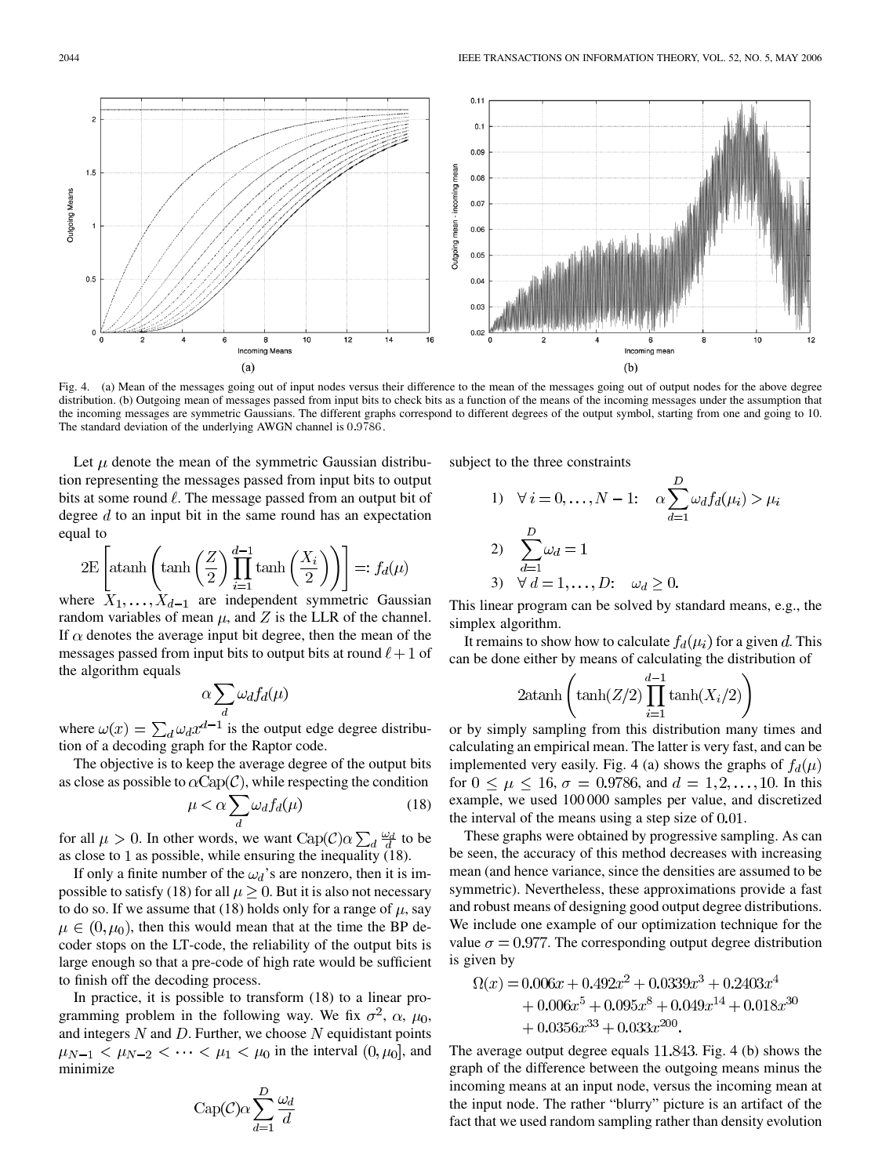

Fig. 4. (a) Mean of the messages going out of input nodes versus their difference to the mean of the messages going out of output nodes for the above degree distribution. (b) Outgoing mean of messages passed from input bits to check bits as a function of the means of the incoming messages under the assumption that the incoming messages are symmetric Gaussians. The different graphs correspond to different degrees of the output symbol, starting from one and going to 10. The standard deviation of the underlying AWGN channel is 0:9786.

Let  $\mu$  denote the mean of the symmetric Gaussian distribution representing the messages passed from input bits to output bits at some round  $\ell$ . The message passed from an output bit of degree  $d$  to an input bit in the same round has an expectation equal to

$$
2E\left[\operatorname{atanh}\left(\tanh\left(\frac{Z}{2}\right)\prod_{i=1}^{d-1}\tanh\left(\frac{X_i}{2}\right)\right)\right] =: f_d(\mu)
$$

where  $X_1, \ldots, X_{d-1}$  are independent symmetric Gaussian random variables of mean  $\mu$ , and Z is the LLR of the channel. If  $\alpha$  denotes the average input bit degree, then the mean of the messages passed from input bits to output bits at round  $\ell + 1$  of the algorithm equals

$$
\alpha \sum_d \omega_d f_d(\mu)
$$

where  $\omega(x) = \sum_d \omega_d x^{d-1}$  is the output edge degree distribution of a decoding graph for the Raptor code.

The objective is to keep the average degree of the output bits as close as possible to  $\alpha$ Cap(C), while respecting the condition

$$
\mu < \alpha \sum_{d} \omega_d f_d(\mu) \tag{18}
$$

for all  $\mu > 0$ . In other words, we want  $\text{Cap}(\mathcal{C}) \alpha \sum_d \frac{\omega_d}{d}$  to be as close to 1 as possible, while ensuring the inequality  $(18)$ .

If only a finite number of the  $\omega_d$ 's are nonzero, then it is impossible to satisfy (18) for all  $\mu > 0$ . But it is also not necessary to do so. If we assume that (18) holds only for a range of  $\mu$ , say  $\mu \in (0, \mu_0)$ , then this would mean that at the time the BP decoder stops on the LT-code, the reliability of the output bits is large enough so that a pre-code of high rate would be sufficient to finish off the decoding process.

In practice, it is possible to transform (18) to a linear programming problem in the following way. We fix  $\sigma^2$ ,  $\alpha$ ,  $\mu_0$ , and integers  $N$  and  $D$ . Further, we choose  $N$  equidistant points  $\mu_{N-1} < \mu_{N-2} < \cdots < \mu_1 < \mu_0$  in the interval  $(0, \mu_0]$ , and minimize

$$
Cap(\mathcal{C})\alpha \sum_{d=1}^{D} \frac{\omega_d}{d}
$$

subject to the three constraints

1) 
$$
\forall i = 0,..., N-1: \quad \alpha \sum_{d=1}^{D} \omega_d f_d(\mu_i) > \mu_i
$$
  
\n2)  $\sum_{d=1}^{D} \omega_d = 1$   
\n3)  $\forall d = 1,..., D: \quad \omega_d \ge 0.$ 

This linear program can be solved by standard means, e.g., the simplex algorithm.

It remains to show how to calculate  $f_d(\mu_i)$  for a given d. This can be done either by means of calculating the distribution of

$$
2 \operatorname{atanh}\left(\tanh(Z/2)\prod_{i=1}^{d-1}\tanh(X_i/2)\right)
$$

or by simply sampling from this distribution many times and calculating an empirical mean. The latter is very fast, and can be implemented very easily. Fig. 4 (a) shows the graphs of  $f_d(\mu)$ for  $0 \le \mu \le 16$ ,  $\sigma = 0.9786$ , and  $d = 1, 2, ..., 10$ . In this example, we used 100 000 samples per value, and discretized the interval of the means using a step size of  $0.01$ .

These graphs were obtained by progressive sampling. As can be seen, the accuracy of this method decreases with increasing mean (and hence variance, since the densities are assumed to be symmetric). Nevertheless, these approximations provide a fast and robust means of designing good output degree distributions. We include one example of our optimization technique for the value  $\sigma = 0.977$ . The corresponding output degree distribution is given by

$$
\Omega(x) = 0.006x + 0.492x^{2} + 0.0339x^{3} + 0.2403x^{4}
$$
  
+ 0.006x<sup>5</sup> + 0.095x<sup>8</sup> + 0.049x<sup>14</sup> + 0.018x<sup>30</sup>  
+ 0.0356x<sup>33</sup> + 0.033x<sup>200</sup>.

The average output degree equals  $11.843$ . Fig. 4 (b) shows the graph of the difference between the outgoing means minus the incoming means at an input node, versus the incoming mean at the input node. The rather "blurry" picture is an artifact of the fact that we used random sampling rather than density evolution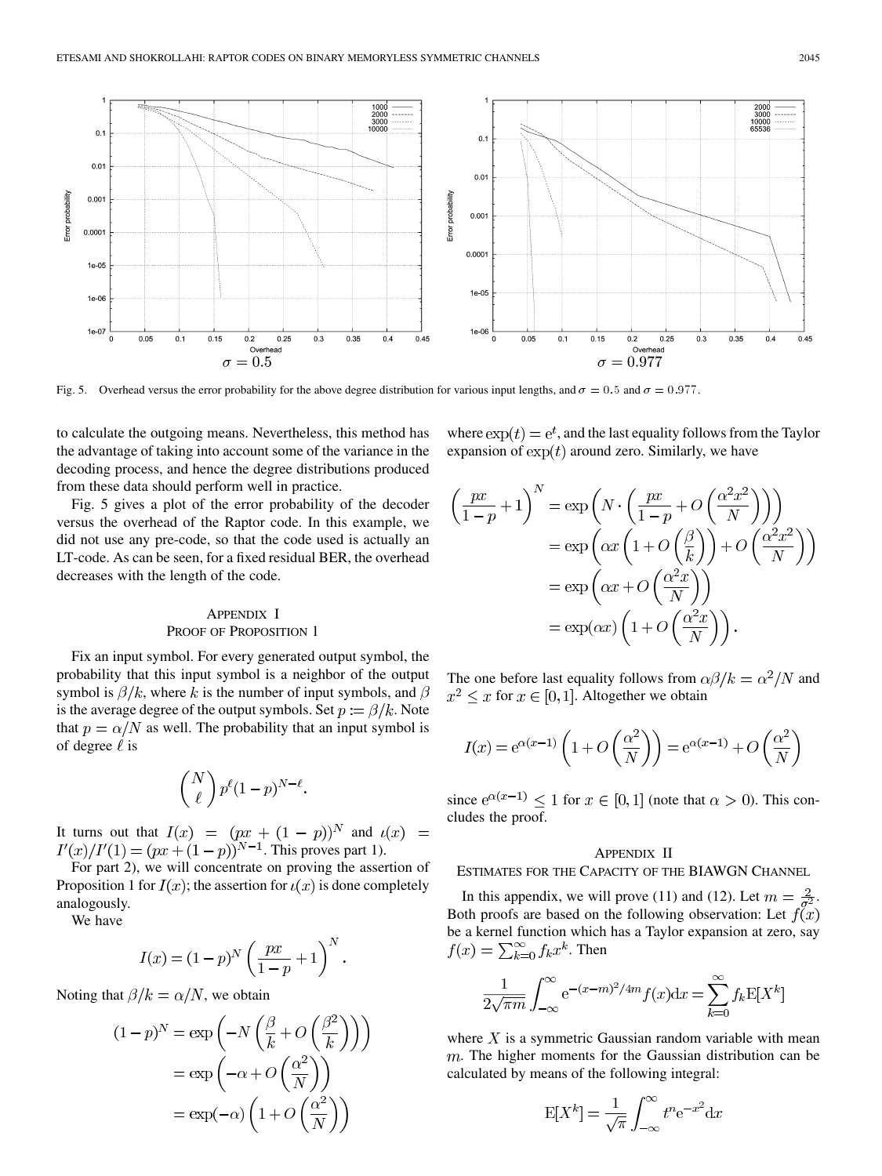

Fig. 5. Overhead versus the error probability for the above degree distribution for various input lengths, and  $\sigma = 0.5$  and  $\sigma = 0.977$ .

to calculate the outgoing means. Nevertheless, this method has the advantage of taking into account some of the variance in the decoding process, and hence the degree distributions produced from these data should perform well in practice.

Fig. 5 gives a plot of the error probability of the decoder versus the overhead of the Raptor code. In this example, we did not use any pre-code, so that the code used is actually an LT-code. As can be seen, for a fixed residual BER, the overhead decreases with the length of the code.

## APPENDIX I PROOF OF PROPOSITION 1

Fix an input symbol. For every generated output symbol, the probability that this input symbol is a neighbor of the output symbol is  $\beta/k$ , where k is the number of input symbols, and  $\beta$ is the average degree of the output symbols. Set  $p := \beta/k$ . Note that  $p = \alpha/N$  as well. The probability that an input symbol is of degree  $\ell$  is

$$
\binom{N}{\ell} p^{\ell} (1-p)^{N-\ell}.
$$

It turns out that  $I(x) = (px + (1 - p))^N$  and . This proves part 1).

For part 2), we will concentrate on proving the assertion of Proposition 1 for  $I(x)$ ; the assertion for  $i(x)$  is done completely analogously.

We have

$$
I(x) = (1 - p)^N \left(\frac{px}{1 - p} + 1\right)^N.
$$

Noting that  $\beta / k = \alpha / N$ , we obtain

$$
(1-p)^N = \exp\left(-N\left(\frac{\beta}{k} + O\left(\frac{\beta^2}{k}\right)\right)\right)
$$

$$
= \exp\left(-\alpha + O\left(\frac{\alpha^2}{N}\right)\right)
$$

$$
= \exp(-\alpha)\left(1 + O\left(\frac{\alpha^2}{N}\right)\right)
$$

where  $\exp(t) = e^t$ , and the last equality follows from the Taylor expansion of  $\exp(t)$  around zero. Similarly, we have

$$
\left(\frac{px}{1-p} + 1\right)^N = \exp\left(N \cdot \left(\frac{px}{1-p} + O\left(\frac{\alpha^2 x^2}{N}\right)\right)\right)
$$

$$
= \exp\left(\alpha x \left(1 + O\left(\frac{\beta}{k}\right)\right) + O\left(\frac{\alpha^2 x^2}{N}\right)\right)
$$

$$
= \exp\left(\alpha x + O\left(\frac{\alpha^2 x}{N}\right)\right)
$$

$$
= \exp(\alpha x) \left(1 + O\left(\frac{\alpha^2 x}{N}\right)\right).
$$

The one before last equality follows from  $\alpha\beta/k = \alpha^2/N$  and  $x^2 \leq x$  for  $x \in [0,1]$ . Altogether we obtain

$$
I(x) = e^{\alpha(x-1)} \left( 1 + O\left(\frac{\alpha^2}{N}\right) \right) = e^{\alpha(x-1)} + O\left(\frac{\alpha^2}{N}\right)
$$

since  $e^{\alpha(x-1)} \le 1$  for  $x \in [0,1]$  (note that  $\alpha > 0$ ). This concludes the proof.

#### APPENDIX II

ESTIMATES FOR THE CAPACITY OF THE BIAWGN CHANNEL

In this appendix, we will prove (11) and (12). Let  $m = \frac{2}{\sigma^2}$ . Both proofs are based on the following observation: Let  $f(x)$ be a kernel function which has a Taylor expansion at zero, say  $f(x) = \sum_{k=0}^{\infty} f_k x^k$ . Then

$$
\frac{1}{2\sqrt{\pi m}}\int_{-\infty}^{\infty} e^{-(x-m)^2/4m} f(x) dx = \sum_{k=0}^{\infty} f_k \mathbb{E}[X^k]
$$

where  $X$  is a symmetric Gaussian random variable with mean  $m$ . The higher moments for the Gaussian distribution can be calculated by means of the following integral:

$$
E[X^k] = \frac{1}{\sqrt{\pi}} \int_{-\infty}^{\infty} t^n e^{-x^2} dx
$$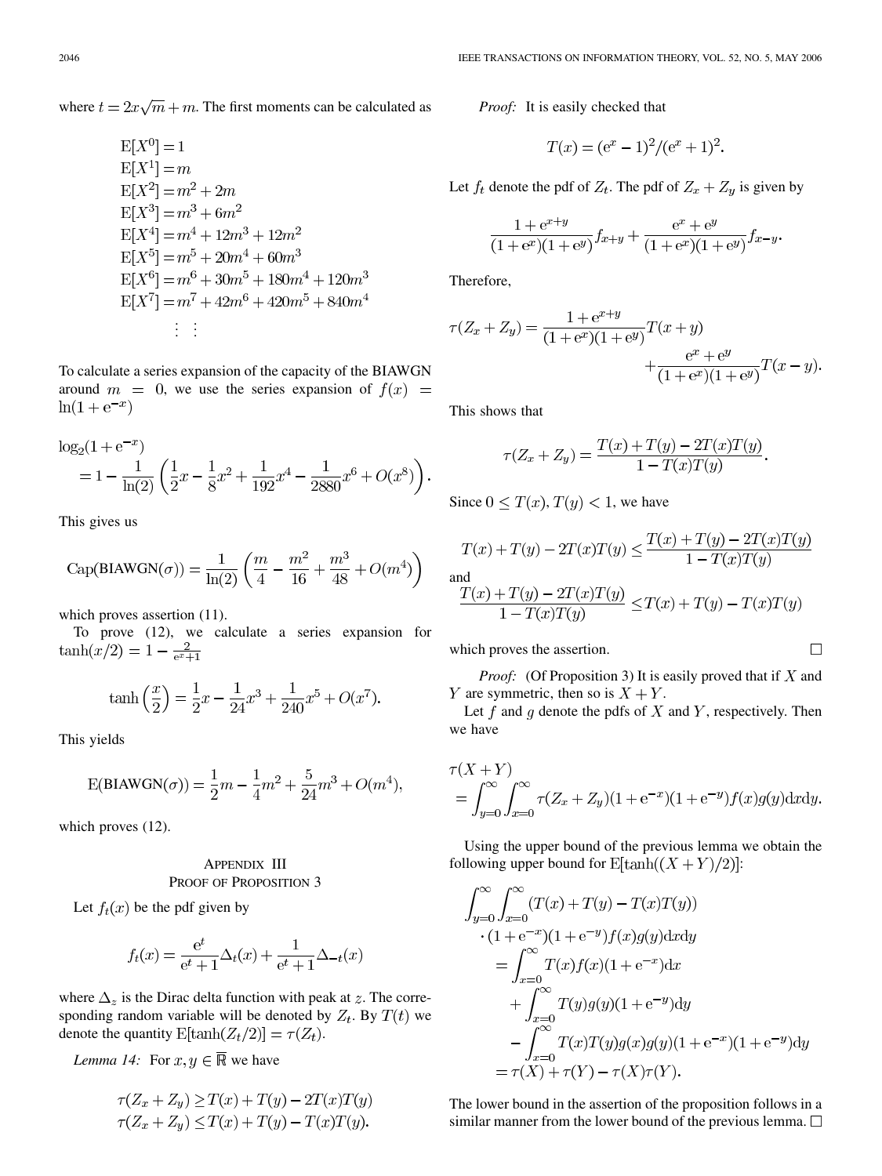where  $t = 2x\sqrt{m} + m$ . The first moments can be calculated as

$$
E[X0] = 1
$$
  
\n
$$
E[X1] = m
$$
  
\n
$$
E[X2] = m2 + 2m
$$
  
\n
$$
E[X3] = m3 + 6m2
$$
  
\n
$$
E[X4] = m4 + 12m3 + 12m2
$$
  
\n
$$
E[X5] = m5 + 20m4 + 60m3
$$
  
\n
$$
E[X6] = m6 + 30m5 + 180m4 + 120m3
$$
  
\n
$$
E[X7] = m7 + 42m6 + 420m5 + 840m4
$$
  
\n
$$
\vdots \quad \vdots
$$

To calculate a series expansion of the capacity of the BIAWGN around  $m = 0$ , we use the series expansion of  $f(x) =$  $\ln(1 + e^{-x})$ 

$$
\log_2(1 + e^{-x}) = 1 - \frac{1}{\ln(2)} \left( \frac{1}{2}x - \frac{1}{8}x^2 + \frac{1}{192}x^4 - \frac{1}{2880}x^6 + O(x^8) \right).
$$

This gives us

Cap(BIAWGN(
$$
\sigma
$$
)) =  $\frac{1}{\ln(2)} \left( \frac{m}{4} - \frac{m^2}{16} + \frac{m^3}{48} + O(m^4) \right)$ 

which proves assertion  $(11)$ .

To prove (12), we calculate a series expansion for  $\tanh(x/2) = 1 - \frac{2}{e^x + 1}$ 

$$
\tanh\left(\frac{x}{2}\right) = \frac{1}{2}x - \frac{1}{24}x^3 + \frac{1}{240}x^5 + O(x^7)
$$

This yields

$$
\text{E}(\text{BIAWGN}(\sigma)) = \frac{1}{2}m - \frac{1}{4}m^2 + \frac{5}{24}m^3 + O(m^4),
$$

which proves (12).

# APPENDIX III PROOF OF PROPOSITION 3

Let  $f_t(x)$  be the pdf given by

$$
f_t(x) = \frac{e^t}{e^t + 1} \Delta_t(x) + \frac{1}{e^t + 1} \Delta_{-t}(x)
$$

where  $\Delta_z$  is the Dirac delta function with peak at z. The corresponding random variable will be denoted by  $Z_t$ . By  $T(t)$  we denote the quantity  $E[\tanh(Z_t/2)] = \tau(Z_t)$ .

*Lemma 14:* For  $x, y \in \overline{\mathbb{R}}$  we have

$$
\tau(Z_x + Z_y) \ge T(x) + T(y) - 2T(x)T(y)
$$
  

$$
\tau(Z_x + Z_y) \le T(x) + T(y) - T(x)T(y).
$$

*Proof:* It is easily checked that

$$
T(x) = (e^x - 1)^2 / (e^x + 1)^2.
$$

Let  $f_t$  denote the pdf of  $Z_t$ . The pdf of  $Z_x + Z_y$  is given by

$$
\frac{1 + e^{x+y}}{(1 + e^x)(1 + e^y)} f_{x+y} + \frac{e^x + e^y}{(1 + e^x)(1 + e^y)} f_{x-y}.
$$

Therefore,

$$
\tau(Z_x + Z_y) = \frac{1 + e^{x+y}}{(1 + e^x)(1 + e^y)} T(x + y)
$$

$$
+ \frac{e^x + e^y}{(1 + e^x)(1 + e^y)} T(x - y).
$$

This shows that

$$
\tau(Z_x + Z_y) = \frac{T(x) + T(y) - 2T(x)T(y)}{1 - T(x)T(y)}.
$$

Since  $0 \leq T(x)$ ,  $T(y) < 1$ , we have

$$
T(x) + T(y) - 2T(x)T(y) \le \frac{T(x) + T(y) - 2T(x)T(y)}{1 - T(x)T(y)}
$$
  
and  

$$
\frac{T(x) + T(y) - 2T(x)T(y)}{1 - T(x)T(y)} \le T(x) + T(y) - T(x)T(y)
$$

which proves the assertion.

*Proof:* (Of Proposition 3) It is easily proved that if  $X$  and Y are symmetric, then so is  $X + Y$ .

Let  $f$  and  $g$  denote the pdfs of  $X$  and  $Y$ , respectively. Then we have

$$
\tau(X + Y)
$$
  
=  $\int_{y=0}^{\infty} \int_{x=0}^{\infty} \tau(Z_x + Z_y)(1 + e^{-x})(1 + e^{-y})f(x)g(y)dxdy.$ 

Using the upper bound of the previous lemma we obtain the following upper bound for  $E[\tanh((X + Y)/2)]$ :

$$
\int_{y=0}^{\infty} \int_{x=0}^{\infty} (T(x) + T(y) - T(x)T(y))
$$
  
. (1 + e<sup>-x</sup>)(1 + e<sup>-y</sup>)f(x)g(y)dxdy  
= 
$$
\int_{x=0}^{\infty} T(x)f(x)(1 + e^{-x})dx
$$
  
+ 
$$
\int_{x=0}^{\infty} T(y)g(y)(1 + e^{-y})dy
$$
  
- 
$$
\int_{x=0}^{\infty} T(x)T(y)g(x)g(y)(1 + e^{-x})(1 + e^{-y})dy
$$
  
= 
$$
\tau(X) + \tau(Y) - \tau(X)\tau(Y).
$$

The lower bound in the assertion of the proposition follows in a similar manner from the lower bound of the previous lemma.  $\square$ 

 $\Box$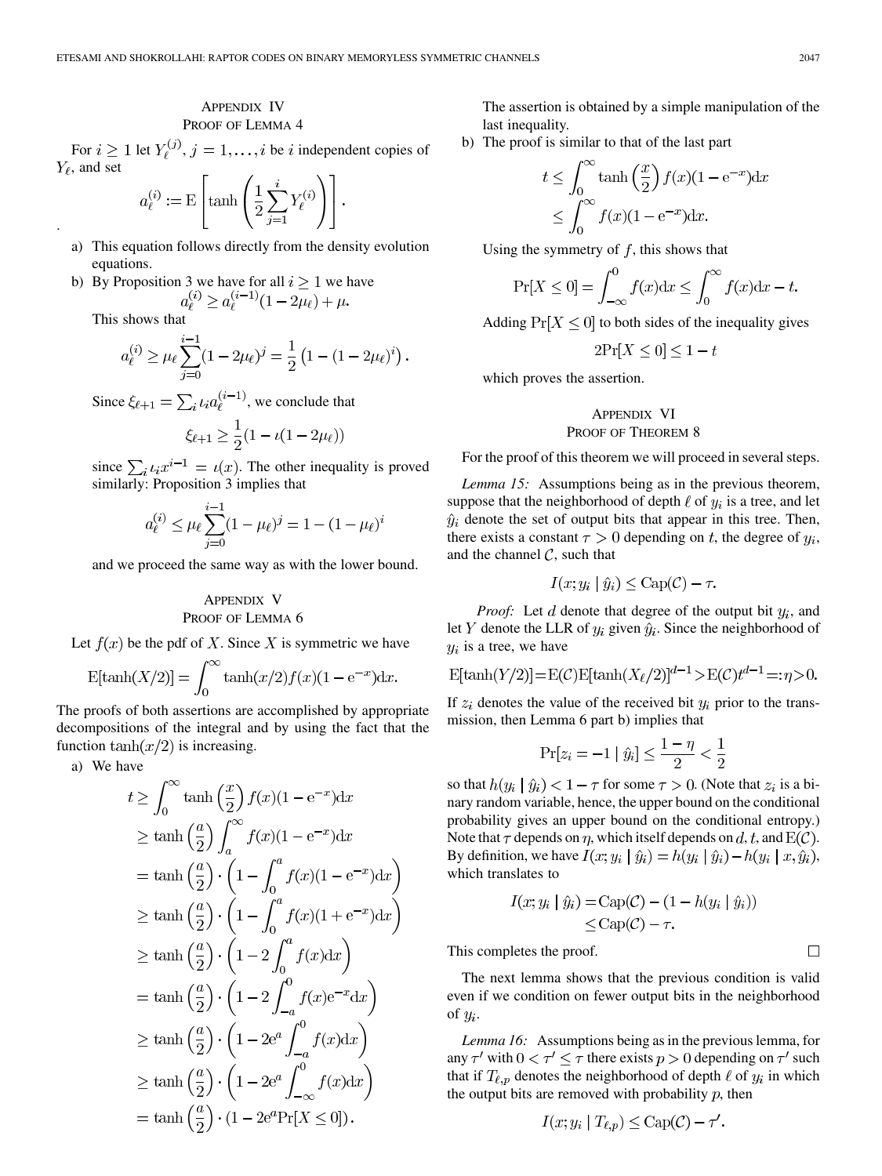## APPENDIX IV PROOF OF LEMMA 4

For  $i \ge 1$  let  $Y_i^{(j)}$ ,  $j = 1, \ldots, i$  be i independent copies of  $Y_\ell$ , and set

 $a_{\ell}^{(i)} := \mathrm{E}\left[\tanh\left(\frac{1}{2}\sum_{j=1}^{i}Y_{\ell}^{(i)}\right)\right].$ 

- a) This equation follows directly from the density evolution equations.
- b) By Proposition 3 we have for all  $i \geq 1$  we have

This shows that

.

$$
a_{\ell}^{(i)} \ge \mu_{\ell} \sum_{j=0}^{i-1} (1 - 2\mu_{\ell})^j = \frac{1}{2} \left( 1 - (1 - 2\mu_{\ell})^i \right).
$$

Since  $\xi_{\ell+1} = \sum_i \iota_i a_{\ell}^{(i-1)}$ , we conclude that

$$
\xi_{\ell+1} \ge \frac{1}{2}(1 - \iota(1 - 2\mu_{\ell}))
$$

since  $\sum_{i} t_i x^{i-1} = t(x)$ . The other inequality is proved similarly: Proposition 3 implies that

$$
a_{\ell}^{(i)} \le \mu_{\ell} \sum_{j=0}^{i-1} (1 - \mu_{\ell})^j = 1 - (1 - \mu_{\ell})^i
$$

and we proceed the same way as with the lower bound.

# APPENDIX V PROOF OF LEMMA 6

Let  $f(x)$  be the pdf of X. Since X is symmetric we have

$$
E[\tanh(X/2)] = \int_0^\infty \tanh(x/2) f(x) (1 - e^{-x}) dx.
$$

The proofs of both assertions are accomplished by appropriate decompositions of the integral and by using the fact that the function  $\tanh(x/2)$  is increasing.

a) We have

$$
t \geq \int_0^\infty \tanh\left(\frac{x}{2}\right) f(x)(1 - e^{-x}) dx
$$
  
\n
$$
\geq \tanh\left(\frac{a}{2}\right) \int_a^\infty f(x)(1 - e^{-x}) dx
$$
  
\n
$$
= \tanh\left(\frac{a}{2}\right) \cdot \left(1 - \int_0^a f(x)(1 - e^{-x}) dx\right)
$$
  
\n
$$
\geq \tanh\left(\frac{a}{2}\right) \cdot \left(1 - \int_0^a f(x)(1 + e^{-x}) dx\right)
$$
  
\n
$$
\geq \tanh\left(\frac{a}{2}\right) \cdot \left(1 - 2 \int_0^a f(x) dx\right)
$$
  
\n
$$
= \tanh\left(\frac{a}{2}\right) \cdot \left(1 - 2 \int_{-a}^0 f(x) e^{-x} dx\right)
$$
  
\n
$$
\geq \tanh\left(\frac{a}{2}\right) \cdot \left(1 - 2e^a \int_{-a}^0 f(x) dx\right)
$$
  
\n
$$
\geq \tanh\left(\frac{a}{2}\right) \cdot \left(1 - 2e^a \int_{-\infty}^0 f(x) dx\right)
$$
  
\n
$$
= \tanh\left(\frac{a}{2}\right) \cdot \left(1 - 2e^a \int_{-\infty}^0 f(x) dx\right)
$$

The assertion is obtained by a simple manipulation of the last inequality.

b) The proof is similar to that of the last part

$$
t \leq \int_0^\infty \tanh\left(\frac{x}{2}\right) f(x) (1 - e^{-x}) dx
$$
  

$$
\leq \int_0^\infty f(x) (1 - e^{-x}) dx.
$$

Using the symmetry of  $f$ , this shows that

$$
\Pr[X \le 0] = \int_{-\infty}^{0} f(x) \mathrm{d}x \le \int_{0}^{\infty} f(x) \mathrm{d}x - t.
$$

Adding  $Pr[X \le 0]$  to both sides of the inequality gives

$$
2\Pr[X \le 0] \le 1 - t
$$

which proves the assertion.

# APPENDIX VI PROOF OF THEOREM 8

For the proof of this theorem we will proceed in several steps.

*Lemma 15:* Assumptions being as in the previous theorem, suppose that the neighborhood of depth  $\ell$  of  $y_i$  is a tree, and let  $\hat{y}_i$  denote the set of output bits that appear in this tree. Then, there exists a constant  $\tau > 0$  depending on t, the degree of  $y_i$ , and the channel  $C$ , such that

$$
I(x; y_i | \hat{y}_i) \leq \text{Cap}(\mathcal{C}) - \tau
$$

*Proof:* Let  $d$  denote that degree of the output bit  $y_i$ , and let Y denote the LLR of  $y_i$  given  $\hat{y}_i$ . Since the neighborhood of  $y_i$  is a tree, we have

$$
E[\tanh(Y/2)] = E(C)E[\tanh(X_{\ell}/2)]^{d-1} > E(C)t^{d-1} =: \eta > 0.
$$

If  $z_i$  denotes the value of the received bit  $y_i$  prior to the transmission, then Lemma 6 part b) implies that

$$
\Pr[z_i = -1 \mid \hat{y}_i] \le \frac{1 - \eta}{2} < \frac{1}{2}
$$

so that  $h(y_i | \hat{y}_i) < 1 - \tau$  for some  $\tau > 0$ . (Note that  $z_i$  is a binary random variable, hence, the upper bound on the conditional probability gives an upper bound on the conditional entropy.) Note that  $\tau$  depends on  $\eta$ , which itself depends on d, t, and  $E(\mathcal{C})$ . By definition, we have  $I(x; y_i | \hat{y}_i) = h(y_i | \hat{y}_i) - h(y_i | x, \hat{y}_i)$ , which translates to

$$
I(x; y_i | \hat{y}_i) = \text{Cap}(\mathcal{C}) - (1 - h(y_i | \hat{y}_i))
$$
  
\n
$$
\leq \text{Cap}(\mathcal{C}) - \tau.
$$

This completes the proof.

The next lemma shows that the previous condition is valid even if we condition on fewer output bits in the neighborhood of  $y_i$ .

*Lemma 16:* Assumptions being as in the previous lemma, for any  $\tau'$  with  $0 < \tau' \leq \tau$  there exists  $p > 0$  depending on  $\tau'$  such that if  $T_{\ell,p}$  denotes the neighborhood of depth  $\ell$  of  $y_i$  in which the output bits are removed with probability  $p$ , then

$$
I(x; y_i \mid T_{\ell, p}) \leq \text{Cap}(\mathcal{C}) - \tau'
$$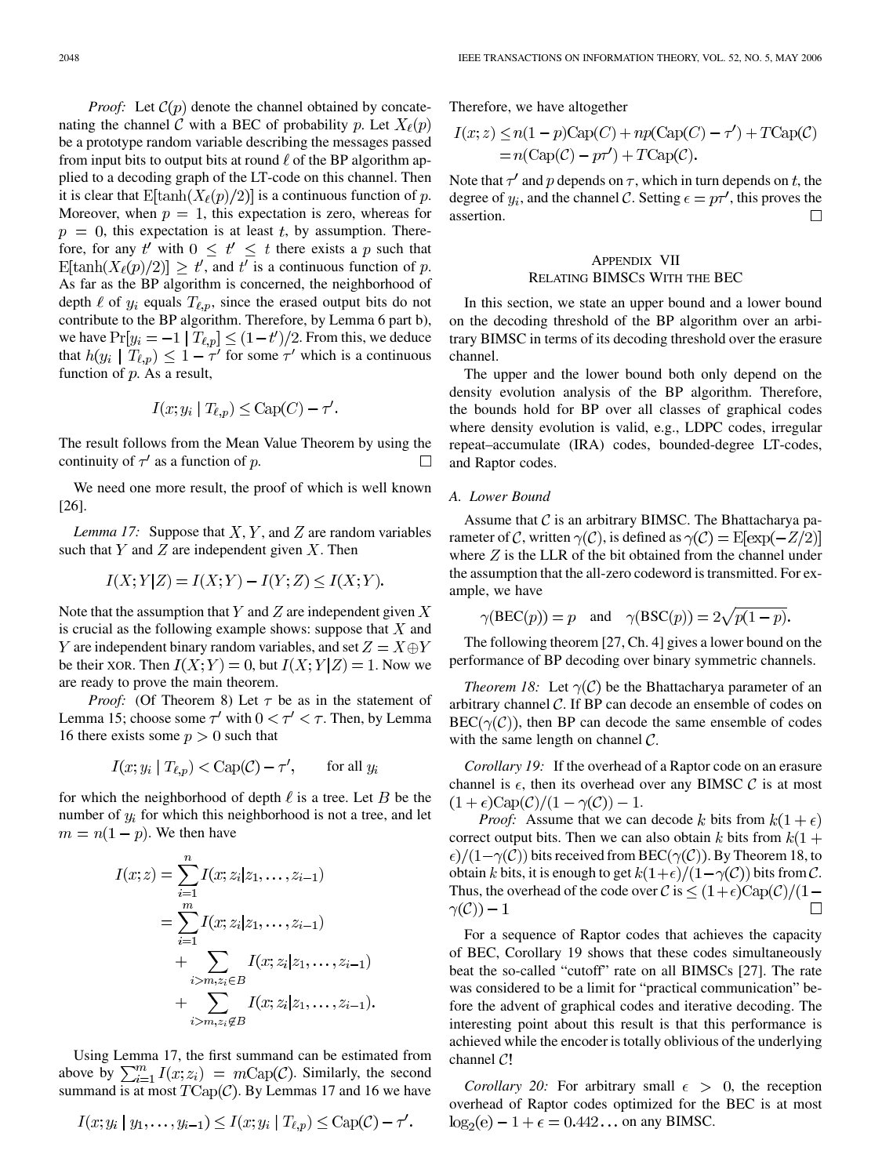*Proof:* Let  $\mathcal{C}(p)$  denote the channel obtained by concatenating the channel C with a BEC of probability p. Let  $X_{\ell}(p)$ be a prototype random variable describing the messages passed from input bits to output bits at round  $\ell$  of the BP algorithm applied to a decoding graph of the LT-code on this channel. Then it is clear that  $E[\tanh(X_{\ell}(p)/2)]$  is a continuous function of p. Moreover, when  $p = 1$ , this expectation is zero, whereas for  $p = 0$ , this expectation is at least t, by assumption. Therefore, for any t' with  $0 \leq t' \leq t$  there exists a p such that  $\mathbb{E}[\tanh(X_{\ell}(p)/2)] \geq t'$ , and t' is a continuous function of p. As far as the BP algorithm is concerned, the neighborhood of depth  $\ell$  of  $y_i$  equals  $T_{\ell,p}$ , since the erased output bits do not contribute to the BP algorithm. Therefore, by Lemma 6 part b), we have  $Pr[y_i = -1 | T_{\ell,p}] \le (1-t')/2$ . From this, we deduce that  $h(y_i | T_{\ell,p}) \leq 1 - \tau'$  for some  $\tau'$  which is a continuous function of  $p$ . As a result,

$$
I(x; y_i | T_{\ell, p}) \leq \text{Cap}(C) - \tau'.
$$

The result follows from the Mean Value Theorem by using the continuity of  $\tau'$  as a function of p.  $\Box$ 

We need one more result, the proof of which is well known [[26\]](#page-18-0).

*Lemma 17:* Suppose that  $X, Y$ , and  $Z$  are random variables such that  $Y$  and  $Z$  are independent given  $X$ . Then

$$
I(X;Y|Z) = I(X;Y) - I(Y;Z) \le I(X;Y).
$$

Note that the assumption that Y and Z are independent given  $X$ is crucial as the following example shows: suppose that  $X$  and Y are independent binary random variables, and set  $Z = X \oplus Y$ be their XOR. Then  $I(X;Y) = 0$ , but  $I(X;Y|Z) = 1$ . Now we are ready to prove the main theorem.

*Proof:* (Of Theorem 8) Let  $\tau$  be as in the statement of Lemma 15; choose some  $\tau'$  with  $0 < \tau' < \tau$ . Then, by Lemma 16 there exists some  $p > 0$  such that

$$
I(x; y_i | T_{\ell, p}) < \text{Cap}(\mathcal{C}) - \tau', \qquad \text{for all } y_i
$$

for which the neighborhood of depth  $\ell$  is a tree. Let B be the number of  $y_i$  for which this neighborhood is not a tree, and let  $m = n(1-p)$ . We then have

$$
I(x; z) = \sum_{i=1}^{n} I(x; z_i | z_1, \dots, z_{i-1})
$$
  
= 
$$
\sum_{i=1}^{m} I(x; z_i | z_1, \dots, z_{i-1})
$$
  
+ 
$$
\sum_{i > m, z_i \in B} I(x; z_i | z_1, \dots, z_{i-1})
$$
  
+ 
$$
\sum_{i > m, z_i \notin B} I(x; z_i | z_1, \dots, z_{i-1})
$$

Using Lemma 17, the first summand can be estimated from above by  $\sum_{i=1}^{m} I(x; z_i) = m \text{Cap}(\mathcal{C})$ . Similarly, the second summand is at most  $T\text{Cap}(\mathcal{C})$ . By Lemmas 17 and 16 we have

$$
I(x; y_i \mid y_1, \ldots, y_{i-1}) \leq I(x; y_i \mid T_{\ell, p}) \leq \text{Cap}(\mathcal{C}) - \tau'.
$$

Therefore, we have altogether

$$
I(x; z) \le n(1 - p)Cap(C) + np(Cap(C) - \tau') + TCap(C)
$$
  
=  $n(Cap(C) - p\tau') + TCap(C)$ .

Note that  $\tau'$  and p depends on  $\tau$ , which in turn depends on t, the degree of  $y_i$ , and the channel C. Setting  $\epsilon = p\tau'$ , this proves the assertion.  $\Box$ 

# APPENDIX VII RELATING BIMSCS WITH THE BEC

In this section, we state an upper bound and a lower bound on the decoding threshold of the BP algorithm over an arbitrary BIMSC in terms of its decoding threshold over the erasure channel.

The upper and the lower bound both only depend on the density evolution analysis of the BP algorithm. Therefore, the bounds hold for BP over all classes of graphical codes where density evolution is valid, e.g., LDPC codes, irregular repeat–accumulate (IRA) codes, bounded-degree LT-codes, and Raptor codes.

### *A. Lower Bound*

Assume that  $\mathcal C$  is an arbitrary BIMSC. The Bhattacharya parameter of C, written  $\gamma$ (C), is defined as  $\gamma$ (C) = E[exp(-Z/2)] where  $Z$  is the LLR of the bit obtained from the channel under the assumption that the all-zero codeword is transmitted. For example, we have

$$
\gamma(\text{BEC}(p)) = p
$$
 and  $\gamma(\text{BSC}(p)) = 2\sqrt{p(1-p)}$ 

The following theorem [\[27](#page-18-0), Ch. 4] gives a lower bound on the performance of BP decoding over binary symmetric channels.

*Theorem 18:* Let  $\gamma(\mathcal{C})$  be the Bhattacharya parameter of an arbitrary channel  $\mathcal{C}$ . If BP can decode an ensemble of codes on  $BEC(\gamma(\mathcal{C}))$ , then BP can decode the same ensemble of codes with the same length on channel  $\mathcal{C}$ .

*Corollary 19:* If the overhead of a Raptor code on an erasure channel is  $\epsilon$ , then its overhead over any BIMSC C is at most  $(1+\epsilon)Cap(\mathcal{C})/(1-\gamma(\mathcal{C}))-1.$ 

*Proof:* Assume that we can decode k bits from  $k(1 + \epsilon)$ correct output bits. Then we can also obtain k bits from  $k(1 +$  $\epsilon$ / $(1-\gamma(\mathcal{C}))$  bits received from BEC( $\gamma(\mathcal{C})$ ). By Theorem 18, to obtain k bits, it is enough to get  $k(1+\epsilon)/(1-\gamma(\mathcal{C}))$  bits from C. Thus, the overhead of the code over  $\mathcal{C}$  is  $\leq (1+\epsilon)Cap(\mathcal{C})/(1-\epsilon)$  $\gamma(\mathcal{C})) - 1$  $\Box$ 

For a sequence of Raptor codes that achieves the capacity of BEC, Corollary 19 shows that these codes simultaneously beat the so-called "cutoff" rate on all BIMSCs [[27\]](#page-18-0). The rate was considered to be a limit for "practical communication" before the advent of graphical codes and iterative decoding. The interesting point about this result is that this performance is achieved while the encoder is totally oblivious of the underlying channel  $C!$ 

*Corollary 20:* For arbitrary small  $\epsilon > 0$ , the reception overhead of Raptor codes optimized for the BEC is at most  $\log_2(e) - 1 + \epsilon = 0.442...$  on any BIMSC.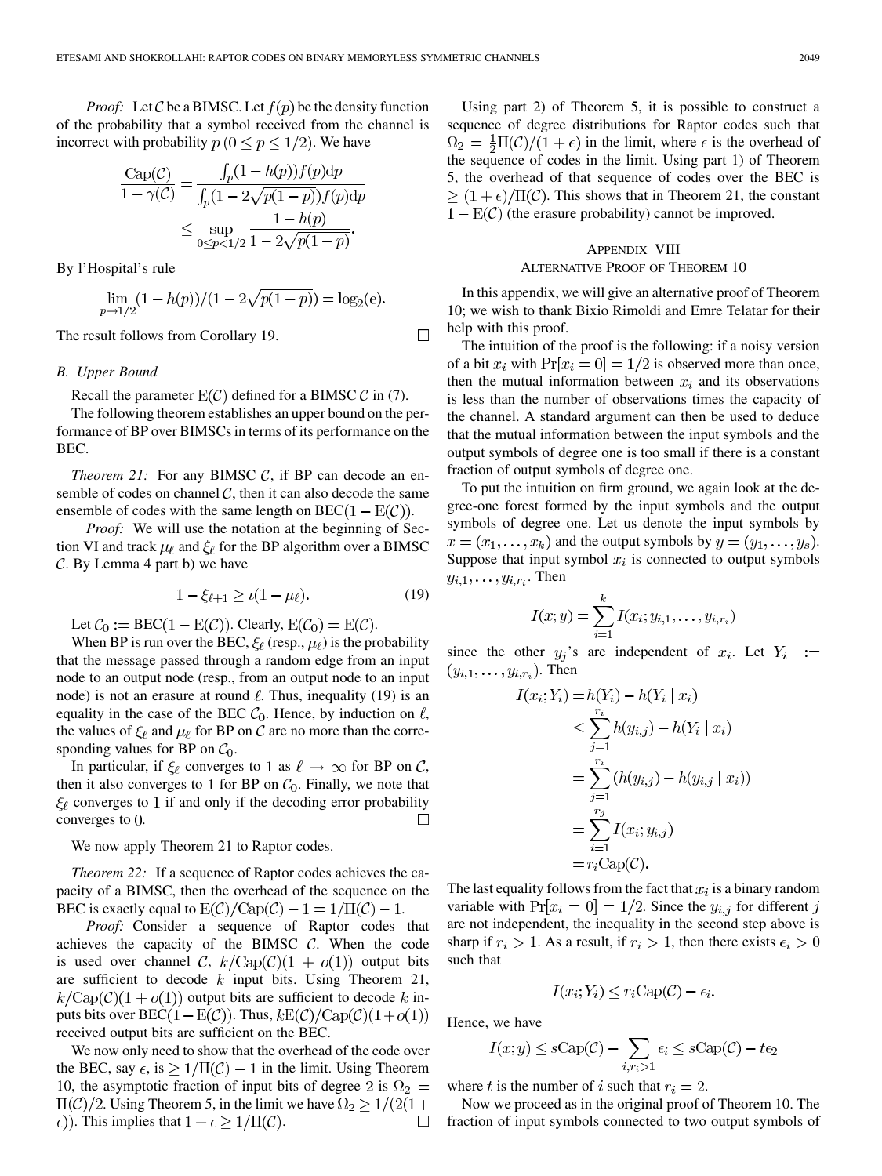*Proof:* Let C be a BIMSC. Let  $f(p)$  be the density function of the probability that a symbol received from the channel is incorrect with probability  $p (0 \le p \le 1/2)$ . We have

$$
\frac{\text{Cap}(C)}{1 - \gamma(C)} = \frac{\int_p (1 - h(p)) f(p) \, dp}{\int_p (1 - 2\sqrt{p(1 - p)}) f(p) \, dp}
$$
\n
$$
\leq \sup_{0 \leq p < 1/2} \frac{1 - h(p)}{1 - 2\sqrt{p(1 - p)}}.
$$

By l'Hospital's rule

$$
\lim_{p \to 1/2} (1 - h(p))/(1 - 2\sqrt{p(1 - p)}) = \log_2(e).
$$

The result follows from Corollary 19.

#### *B. Upper Bound*

Recall the parameter  $E(C)$  defined for a BIMSC C in (7).

The following theorem establishes an upper bound on the performance of BP over BIMSCs in terms of its performance on the BEC.

*Theorem 21:* For any BIMSC  $C$ , if BP can decode an ensemble of codes on channel  $\mathcal{C}$ , then it can also decode the same ensemble of codes with the same length on  $BEC(1 – E(\mathcal{C}))$ .

*Proof:* We will use the notation at the beginning of Section VI and track  $\mu_{\ell}$  and  $\xi_{\ell}$  for the BP algorithm over a BIMSC  $C.$  By Lemma 4 part b) we have

$$
1 - \xi_{\ell+1} \ge \iota(1 - \mu_{\ell}). \tag{19}
$$

 $\Box$ 

Let  $C_0 := \text{BEC}(1 - \text{E}(\mathcal{C}))$ . Clearly,  $\text{E}(\mathcal{C}_0) = \text{E}(\mathcal{C})$ .

When BP is run over the BEC,  $\xi_{\ell}$  (resp.,  $\mu_{\ell}$ ) is the probability that the message passed through a random edge from an input node to an output node (resp., from an output node to an input node) is not an erasure at round  $\ell$ . Thus, inequality (19) is an equality in the case of the BEC  $C_0$ . Hence, by induction on  $\ell$ , the values of  $\xi_{\ell}$  and  $\mu_{\ell}$  for BP on C are no more than the corresponding values for BP on  $C_0$ .

In particular, if  $\xi_{\ell}$  converges to 1 as  $\ell \to \infty$  for BP on C, then it also converges to 1 for BP on  $C_0$ . Finally, we note that  $\xi_{\ell}$  converges to 1 if and only if the decoding error probability converges to  $0$ .  $\Box$ 

We now apply Theorem 21 to Raptor codes.

*Theorem 22:* If a sequence of Raptor codes achieves the capacity of a BIMSC, then the overhead of the sequence on the BEC is exactly equal to  $E(\mathcal{C})/Cap(\mathcal{C}) - 1 = 1/\Pi(\mathcal{C}) - 1$ .

*Proof:* Consider a sequence of Raptor codes that achieves the capacity of the BIMSC  $C$ . When the code is used over channel C,  $k/\text{Cap}(\mathcal{C})(1 + o(1))$  output bits are sufficient to decode  $k$  input bits. Using Theorem 21,  $k/\text{Cap}(\mathcal{C})(1+o(1))$  output bits are sufficient to decode k inputs bits over  $\text{BEC}(1 - \text{E}(\mathcal{C}))$ . Thus,  $k\text{E}(\mathcal{C})/\text{Cap}(\mathcal{C})(1 + o(1))$ received output bits are sufficient on the BEC.

We now only need to show that the overhead of the code over the BEC, say  $\epsilon$ , is  $\geq 1/\Pi(\mathcal{C}) - 1$  in the limit. Using Theorem 10, the asymptotic fraction of input bits of degree 2 is  $\Omega_2 =$  $\Pi(\mathcal{C})/2$ . Using Theorem 5, in the limit we have  $\Omega_2 \geq 1/(2(1+\mathcal{C}))$  $\epsilon$ )). This implies that  $1 + \epsilon \geq 1/\Pi(\mathcal{C})$ .  $\Box$ 

Using part 2) of Theorem 5, it is possible to construct a sequence of degree distributions for Raptor codes such that  $\Omega_2 = \frac{1}{2}\Pi(\mathcal{C})/(1+\epsilon)$  in the limit, where  $\epsilon$  is the overhead of the sequence of codes in the limit. Using part 1) of Theorem 5, the overhead of that sequence of codes over the BEC is  $\geq (1+\epsilon)/\Pi(\mathcal{C})$ . This shows that in Theorem 21, the constant  $(1 - E(\mathcal{C}))$  (the erasure probability) cannot be improved.

## APPENDIX VIII ALTERNATIVE PROOF OF THEOREM 10

In this appendix, we will give an alternative proof of Theorem 10; we wish to thank Bixio Rimoldi and Emre Telatar for their help with this proof.

The intuition of the proof is the following: if a noisy version of a bit  $x_i$  with  $Pr[x_i = 0] = 1/2$  is observed more than once, then the mutual information between  $x_i$  and its observations is less than the number of observations times the capacity of the channel. A standard argument can then be used to deduce that the mutual information between the input symbols and the output symbols of degree one is too small if there is a constant fraction of output symbols of degree one.

To put the intuition on firm ground, we again look at the degree-one forest formed by the input symbols and the output symbols of degree one. Let us denote the input symbols by  $x = (x_1, \ldots, x_k)$  and the output symbols by  $y = (y_1, \ldots, y_s)$ . Suppose that input symbol  $x_i$  is connected to output symbols  $y_{i,1}, \ldots, y_{i,r_i}$ . Then

$$
I(x; y) = \sum_{i=1}^{k} I(x_i; y_{i,1}, \dots, y_{i,r_i})
$$

since the other  $y_i$ 's are independent of  $x_i$ . Let  $Y_i$  :=  $(y_{i,1}, \ldots, y_{i,r_i})$ . Then

$$
I(x_i; Y_i) = h(Y_i) - h(Y_i | x_i)
$$
  
\n
$$
\leq \sum_{j=1}^{r_i} h(y_{i,j}) - h(Y_i | x_i)
$$
  
\n
$$
= \sum_{j=1}^{r_i} (h(y_{i,j}) - h(y_{i,j} | x_i))
$$
  
\n
$$
= \sum_{i=1}^{r_j} I(x_i; y_{i,j})
$$
  
\n
$$
= r_i \text{Cap}(C).
$$

The last equality follows from the fact that  $x_i$  is a binary random variable with  $Pr[x_i = 0] = 1/2$ . Since the  $y_{i,j}$  for different j are not independent, the inequality in the second step above is sharp if  $r_i > 1$ . As a result, if  $r_i > 1$ , then there exists  $\epsilon_i > 0$ such that

$$
I(x_i; Y_i) \le r_i \text{Cap}(\mathcal{C}) - \epsilon_i.
$$

Hence, we have

$$
I(x; y) \le s \text{Cap}(\mathcal{C}) - \sum_{i, r_i > 1} \epsilon_i \le s \text{Cap}(\mathcal{C}) - t\epsilon_2
$$

where t is the number of i such that  $r_i = 2$ .

Now we proceed as in the original proof of Theorem 10. The fraction of input symbols connected to two output symbols of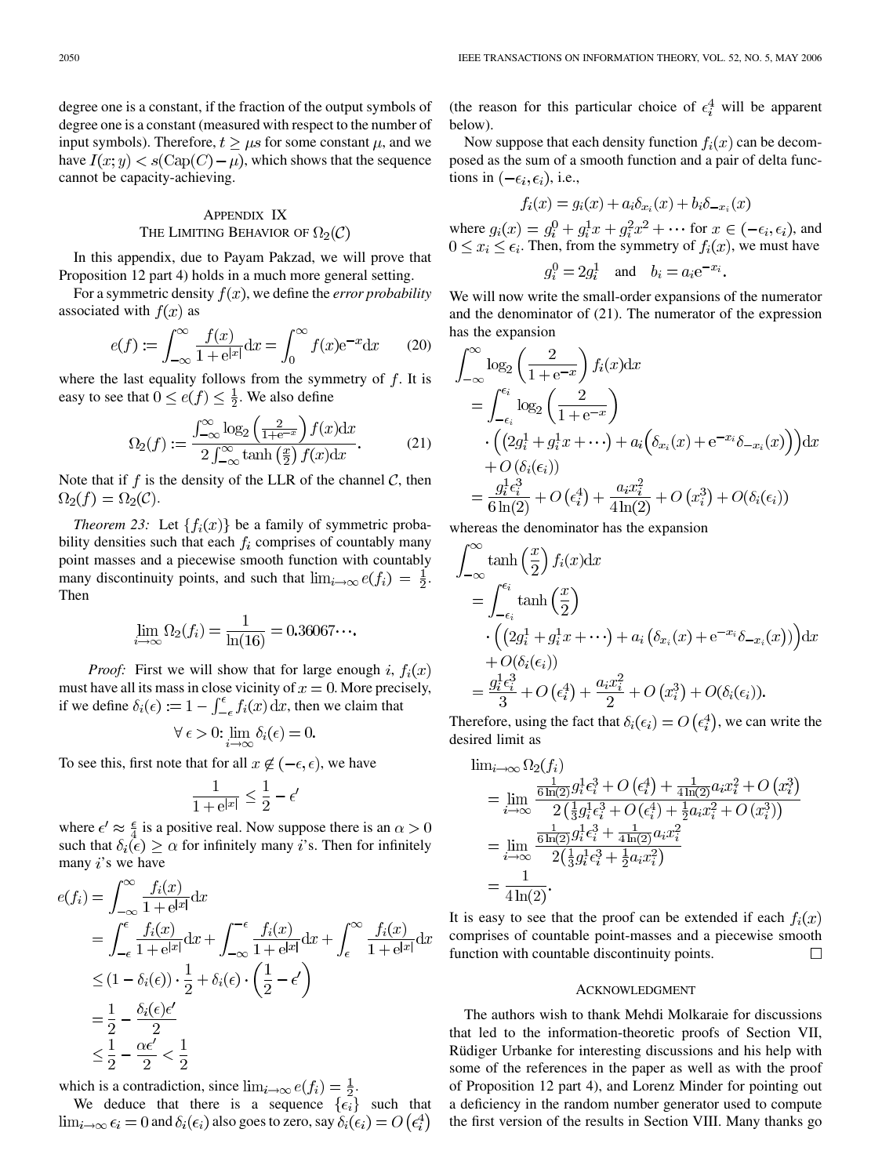degree one is a constant, if the fraction of the output symbols of degree one is a constant (measured with respect to the number of input symbols). Therefore,  $t \geq \mu s$  for some constant  $\mu$ , and we have  $I(x; y) < s(\text{Cap}(C) - \mu)$ , which shows that the sequence cannot be capacity-achieving.

# APPENDIX IX THE LIMITING BEHAVIOR OF  $\Omega_2(\mathcal{C})$

In this appendix, due to Payam Pakzad, we will prove that Proposition 12 part 4) holds in a much more general setting.

For a symmetric density  $f(x)$ , we define the *error probability* associated with  $f(x)$  as

$$
e(f) := \int_{-\infty}^{\infty} \frac{f(x)}{1 + e^{|x|}} dx = \int_{0}^{\infty} f(x)e^{-x} dx \qquad (20)
$$

where the last equality follows from the symmetry of  $f$ . It is easy to see that  $0 \le e(f) \le \frac{1}{2}$ . We also define

$$
\Omega_2(f) := \frac{\int_{-\infty}^{\infty} \log_2\left(\frac{2}{1 + e^{-x}}\right) f(x) dx}{2 \int_{-\infty}^{\infty} \tanh\left(\frac{x}{2}\right) f(x) dx}.
$$
 (21)

Note that if  $f$  is the density of the LLR of the channel  $\mathcal{C}$ , then  $\Omega_2(f) = \Omega_2(\mathcal{C}).$ 

*Theorem 23:* Let  $\{f_i(x)\}\$ be a family of symmetric probability densities such that each  $f_i$  comprises of countably many point masses and a piecewise smooth function with countably many discontinuity points, and such that  $\lim_{i\to\infty}e(f_i) = \frac{1}{2}$ . Then

$$
\lim_{i \to \infty} \Omega_2(f_i) = \frac{1}{\ln(16)} = 0.36067...
$$

*Proof:* First we will show that for large enough i,  $f_i(x)$ must have all its mass in close vicinity of  $x = 0$ . More precisely, if we define  $\delta_i(\epsilon) := 1 - \int_{-\epsilon}^{\epsilon} f_i(x) dx$ , then we claim that

$$
\forall \epsilon > 0: \lim_{i \to \infty} \delta_i(\epsilon) = 0.
$$

To see this, first note that for all  $x \notin (-\epsilon, \epsilon)$ , we have

$$
\frac{1}{1+e^{|x|}} \le \frac{1}{2} - \epsilon'
$$

where  $\epsilon' \approx \frac{\epsilon}{4}$  is a positive real. Now suppose there is an  $\alpha > 0$ such that  $\delta_i(\epsilon) \geq \alpha$  for infinitely many *i*'s. Then for infinitely many  $i$ 's we have

$$
e(f_i) = \int_{-\infty}^{\infty} \frac{f_i(x)}{1 + e^{|x|}} dx
$$
  
\n
$$
= \int_{-\epsilon}^{\epsilon} \frac{f_i(x)}{1 + e^{|x|}} dx + \int_{-\infty}^{-\epsilon} \frac{f_i(x)}{1 + e^{|x|}} dx + \int_{\epsilon}^{\infty} \frac{f_i(x)}{1 + e^{|x|}} dx
$$
  
\n
$$
\leq (1 - \delta_i(\epsilon)) \cdot \frac{1}{2} + \delta_i(\epsilon) \cdot \left(\frac{1}{2} - \epsilon'\right)
$$
  
\n
$$
= \frac{1}{2} - \frac{\delta_i(\epsilon)\epsilon'}{2}
$$
  
\n
$$
\leq \frac{1}{2} - \frac{\alpha \epsilon'}{2} < \frac{1}{2}
$$

which is a contradiction, since  $\lim_{i\to\infty} e(f_i) = \frac{1}{2}$ .

We deduce that there is a sequence  $\{\epsilon_i\}$  such that  $\lim_{i\to\infty} \epsilon_i = 0$  and  $\delta_i(\epsilon_i)$  also goes to zero, say  $\delta_i(\epsilon_i) = O\left(\epsilon_i^4\right)$ 

(the reason for this particular choice of  $\epsilon_i^4$  will be apparent below).

Now suppose that each density function  $f_i(x)$  can be decomposed as the sum of a smooth function and a pair of delta functions in  $(-\epsilon_i, \epsilon_i)$ , i.e.,

$$
f_i(x) = g_i(x) + a_i \delta_{x_i}(x) + b_i \delta_{-x_i}(x)
$$

where  $g_i(x) = g_i^0 + g_i^1 x + g_i^2 x^2 + \cdots$  for  $x \in (-\epsilon_i, \epsilon_i)$ , and  $0 \leq x_i \leq \epsilon_i$ . Then, from the symmetry of  $f_i(x)$ , we must have

$$
g_i^0 = 2g_i^1 \quad \text{and} \quad b_i = a_i e^{-x_i}.
$$

We will now write the small-order expansions of the numerator and the denominator of (21). The numerator of the expression has the expansion

$$
\int_{-\infty}^{\infty} \log_2 \left( \frac{2}{1 + e^{-x}} \right) f_i(x) dx
$$
  
= 
$$
\int_{-\epsilon_i}^{\epsilon_i} \log_2 \left( \frac{2}{1 + e^{-x}} \right)
$$

$$
\cdot \left( \left( 2g_i^1 + g_i^1 x + \cdots \right) + a_i \left( \delta_{x_i}(x) + e^{-x_i} \delta_{-x_i}(x) \right) \right) dx
$$

$$
+ O\left( \delta_i(\epsilon_i) \right)
$$

$$
= \frac{g_i^1 \epsilon_i^3}{6 \ln(2)} + O\left( \epsilon_i^4 \right) + \frac{a_i x_i^2}{4 \ln(2)} + O\left( x_i^3 \right) + O\left( \delta_i(\epsilon_i) \right)
$$

whereas the denominator has the expansion

in the co

$$
\int_{-\infty}^{\infty} \tanh\left(\frac{x}{2}\right) f_i(x) dx
$$
  
= 
$$
\int_{-\epsilon_i}^{\epsilon_i} \tanh\left(\frac{x}{2}\right)
$$

$$
\cdot \left( \left(2g_i^1 + g_i^1 x + \cdots \right) + a_i \left( \delta_{x_i}(x) + e^{-x_i} \delta_{-x_i}(x) \right) \right) dx
$$

$$
+ O(\delta_i(\epsilon_i))
$$

$$
= \frac{g_i^1 \epsilon_i^3}{3} + O(\epsilon_i^4) + \frac{a_i x_i^2}{2} + O(x_i^3) + O(\delta_i(\epsilon_i)).
$$

Therefore, using the fact that  $\delta_i(\epsilon_i) = O(\epsilon_i^4)$ , we can write the desired limit as

$$
\lim_{i \to \infty} \Omega_2(f_i)
$$
\n
$$
= \lim_{i \to \infty} \frac{\frac{1}{6 \ln(2)} g_i^1 \epsilon_i^3 + O\left(\epsilon_i^4\right) + \frac{1}{4 \ln(2)} a_i x_i^2 + O\left(x_i^3\right)}{2 \left(\frac{1}{3} g_i^1 \epsilon_i^3 + O\left(\epsilon_i^4\right) + \frac{1}{2} a_i x_i^2 + O\left(x_i^3\right)\right)}
$$
\n
$$
= \lim_{i \to \infty} \frac{\frac{1}{6 \ln(2)} g_i^1 \epsilon_i^3 + \frac{1}{4 \ln(2)} a_i x_i^2}{2 \left(\frac{1}{3} g_i^1 \epsilon_i^3 + \frac{1}{2} a_i x_i^2\right)}
$$
\n
$$
= \frac{1}{4 \ln(2)}.
$$

It is easy to see that the proof can be extended if each  $f_i(x)$ comprises of countable point-masses and a piecewise smooth function with countable discontinuity points.  $\Box$ 

#### ACKNOWLEDGMENT

The authors wish to thank Mehdi Molkaraie for discussions that led to the information-theoretic proofs of Section VII, Rüdiger Urbanke for interesting discussions and his help with some of the references in the paper as well as with the proof of Proposition 12 part 4), and Lorenz Minder for pointing out a deficiency in the random number generator used to compute the first version of the results in Section VIII. Many thanks go